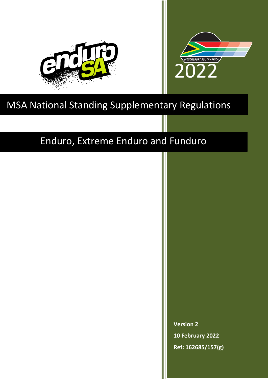



# MSA National Standing Supplementary Regulations

# Enduro, Extreme Enduro and Funduro

**Version 2 10 February 2022 Ref: 162685/157(g)**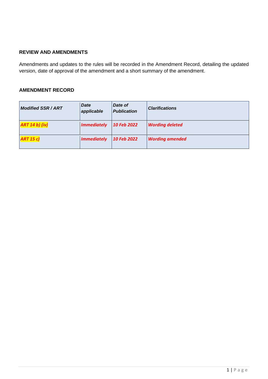# **REVIEW AND AMENDMENTS**

Amendments and updates to the rules will be recorded in the Amendment Record, detailing the updated version, date of approval of the amendment and a short summary of the amendment.

# **AMENDMENT RECORD**

| <b>Modified SSR/ART</b> | <b>Date</b><br>applicable | Date of<br><b>Publication</b> | <b>Clarifications</b>  |
|-------------------------|---------------------------|-------------------------------|------------------------|
| ART 14 b) (iv)          | <b>Immediately</b>        | 10 Feb 2022                   | <b>Wording deleted</b> |
| ART 15 c)               | <b>Immediately</b>        | 10 Feb 2022                   | <b>Wording amended</b> |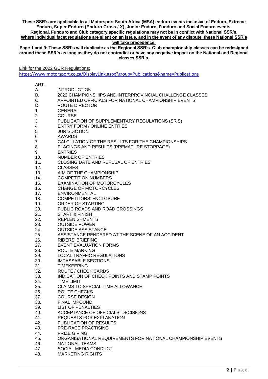#### **These SSR's are applicable to all Motorsport South Africa (MSA) enduro events inclusive of Enduro, Extreme Enduro, Super Enduro (Enduro Cross / X), Junior Enduro, Funduro and Social Enduro events. Regional, Funduro and Club category specific regulations may not be in conflict with National SSR's. Where individual facet regulations are silent on an issue, and in the event of any dispute, these National SSR's**

**will take precedence.**

**Page 1 and 9: These SSR's will duplicate as the Regional SSR's. Club championship classes can be redesigned around these SSR's as long as they do not contradict or have any negative impact on the National and Regional classes SSR's.**

Link for the 2022 GCR Regulations:

<https://www.motorsport.co.za/DisplayLink.aspx?group=Publications&name=Publications>

| ART. |                                                              |
|------|--------------------------------------------------------------|
| Α.   | <b>INTRODUCTION</b>                                          |
| B.   | 2022 CHAMPIONSHIPS AND INTERPROVINCIAL CHALLENGE CLASSES     |
| C.   | APPOINTED OFFICIALS FOR NATIONAL CHAMPIONSHIP EVENTS         |
| D.   | <b>ROUTE DIRECTOR</b>                                        |
| 1.   | <b>GENERAL</b>                                               |
|      | <b>COURSE</b>                                                |
| 2.   |                                                              |
| 3.   | PUBLICATION OF SUPPLEMENTARY REGULATIONS (SR'S)              |
| 4.   | <b>ENTRY FORM / ONLINE ENTRIES</b>                           |
| 5.   | <b>JURISDICTION</b>                                          |
| 6.   | <b>AWARDS</b>                                                |
| 7.   | CALCULATION OF THE RESULTS FOR THE CHAMPIONSHIPS             |
| 8.   | PLACINGS AND RESULTS (PREMATURE STOPPAGE)                    |
| 9.   | <b>ENTRIES</b>                                               |
| 10.  | NUMBER OF ENTRIES                                            |
| 11.  | CLOSING DATE AND REFUSAL OF ENTRIES                          |
| 12.  | <b>CLASSES</b>                                               |
| 13.  | AIM OF THE CHAMPIONSHIP                                      |
|      | <b>COMPETITION NUMBERS</b>                                   |
| 14.  |                                                              |
| 15.  | <b>EXAMINATION OF MOTORCYCLES</b>                            |
| 16.  | <b>CHANGE OF MOTORCYCLES</b>                                 |
| 17.  | <b>ENVIRONMENTAL</b>                                         |
| 18.  | <b>COMPETITORS' ENCLOSURE</b>                                |
| 19.  | ORDER OF STARTING                                            |
| 20.  | PUBLIC ROADS AND ROAD CROSSINGS                              |
| 21.  | <b>START &amp; FINISH</b>                                    |
| 22.  | <b>REPLENISHMENTS</b>                                        |
| 23.  | <b>OUTSIDE POWER</b>                                         |
| 24.  | <b>OUTSIDE ASSISTANCE</b>                                    |
| 25.  | ASSISTANCE RENDERED AT THE SCENE OF AN ACCIDENT              |
| 26.  | <b>RIDERS' BRIEFING</b>                                      |
| 27.  | <b>EVENT EVALUATION FORMS</b>                                |
| 28.  | <b>ROUTE MARKING</b>                                         |
| 29.  | <b>LOCAL TRAFFIC REGULATIONS</b>                             |
|      |                                                              |
| 30.  | <b>IMPASSABLE SECTIONS</b>                                   |
| 31.  | <b>TIMEKEEPING</b>                                           |
| 32.  | ROUTE / CHECK CARDS                                          |
| 33.  | INDICATION OF CHECK POINTS AND STAMP POINTS                  |
| 34.  | <b>TIME LIMIT</b>                                            |
| 35.  | CLAIMS TO SPECIAL TIME ALLOWANCE                             |
| 36.  | ROUTE CHECKS                                                 |
| 37.  | <b>COURSE DESIGN</b>                                         |
| 38.  | <b>FINAL IMPOUND</b>                                         |
| 39.  | <b>LIST OF PENALTIES</b>                                     |
| 40.  | ACCEPTANCE OF OFFICIALS' DECISIONS                           |
| 41.  | REQUESTS FOR EXPLANATION                                     |
| 42.  | PUBLICATION OF RESULTS                                       |
| 43.  | PRE-RACE PRACTISING                                          |
| 44.  | <b>PRIZE GIVING</b>                                          |
| 45.  | ORGANISATIONAL REQUIREMENTS FOR NATIONAL CHAMPIONSHIP EVENTS |
|      |                                                              |
| 46.  | <b>NATIONAL TEAMS</b>                                        |
| 47.  | SOCIAL MEDIA CONDUCT                                         |
| 48.  | <b>MARKETING RIGHTS</b>                                      |
|      |                                                              |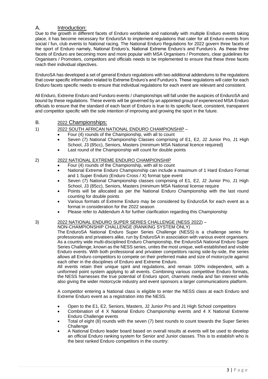# A. Introduction:

Due to the growth in different facets of Enduro worldwide and nationally with multiple Enduro events taking place, it has become necessary for EnduroSA to implement regulations that cater for all Enduro events from social / fun, club events to National racing. The National Enduro Regulations for 2022 govern three facets of the sport of Enduro namely, National Enduro's, National Extreme Enduro's and Funduro's. As these three facets of Enduro are becoming more and more popular with MSA Organisers / Promoters, clear guidelines for Organisers / Promoters, competitors and officials needs to be implemented to ensure that these three facets reach their individual objectives.

EnduroSA has developed a set of general Enduro regulations with two additional addendums to the regulations that cover specific information related to Extreme Enduro's and Funduro's. These regulations will cater for each Enduro facets specific needs to ensure that individual regulations for each event are relevant and consistent.

All Enduro, Extreme Enduro and Funduro events / championships will fall under the auspices of EnduroSA and bound by these regulations. These events will be governed by an appointed group of experienced MSA Enduro officials to ensure that the standard of each facet of Enduro is true to its specific facet, consistent, transparent and competitor specific with the sole intention of improving and growing the sport in the future.

#### B. 2022 Championships:

#### 1) 2022 SOUTH AFRICAN NATIONAL ENDURO CHAMPIONSHIP –

- Four (4) rounds of the Championship, with all to count
- Seven (7) National Championship Classes comprising of E1, E2, J2 Junior Pro, J1 High School, J3 (85cc), Seniors, Masters (minimum MSA National licence required)
- Last round of the Championship will count for double points

# 2) 2022 NATIONAL EXTREME ENDURO CHAMPIONSHIP

- Four (4) rounds of the Championship, with all to count
- National Extreme Enduro Championship can include a maximum of 1 Hard Enduro Format and 1 Super Enduro (Enduro Cross / X) format type event
- Seven (7) National Championship classes comprising of E1, E2, J2 Junior Pro, J1 High School, J3 (85cc), Seniors, Masters (minimum MSA National license require
- Points will be allocated as per the National Enduro Championship with the last round counting for double points
- Various formats of Extreme Enduro may be considered by EnduroSA for each event as a format in consideration for the 2022 season
- Please refer to Addendum A for further clarification regarding this Championship

# 3) 2022 NATIONAL ENDURO SUPER SERIES CHALLENGE (NESS 2022) –

NON-CHAMPIONSHIP CHALLENGE (RANKING SYSTEM ONLY)

The EnduroSA National Enduro Super Series Challenge (NESS) is a challenge series for professionals and privateers alike, run by EnduroSA in association with various event organisers. As a country wide multi-disciplined Enduro Championship, the EnduroSA National Enduro Super Series Challenge, known as the NESS series, unites the most unique, well-established and visible Enduro events. With both professional and privateer competitors racing side-by-side, the series allows all Enduro competitors to compete on their preferred make and size of motorcycle against each other in the disciplines of Enduro and Extreme Enduro.

All events retain their unique spirit and regulations, and remain 100% independent, with a uniformed point system applying to all events. Combining various competitive Enduro formats, the NESS harnesses the true potential of Enduro sport, channels media and fan interest while also giving the wider motorcycle industry and event sponsors a larger communications platform.

A competitor entering a National class is eligible to enter the NESS class at each Enduro and Extreme Enduro event as a registration into the NESS.

- Open to the E1, E2, Seniors, Masters, J2 Junior Pro and J1 High School competitors
- Combination of 4 X National Enduro Championship events and 4 X National Extreme Enduro Challenge events
- Total of eight  $(8)$  rounds with the seven  $(7)$  best rounds to count towards the Super Series **Challenge**
- A National Enduro leader board based on overall results at events will be used to develop an official Enduro ranking system for Senior and Junior classes. This is to establish who is the best ranked Enduro competitors in the country: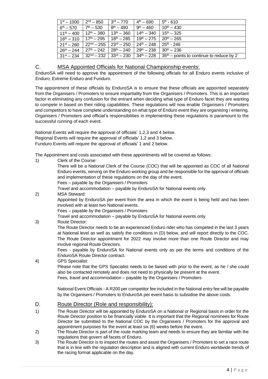| $1^{st} - 1000$        | $2nd - 850$            | $3rd - 770$                                     | $4th - 690$            | $5th - 610$                                                        |
|------------------------|------------------------|-------------------------------------------------|------------------------|--------------------------------------------------------------------|
| $6^{th} - 570$         | $7th - 530$            | $8^{th} - 490$                                  | $9^{th} - 460$         | $10^{th} - 430$                                                    |
| $11^{th} - 400$        | $12^{\text{th}} - 380$ | $13^{th} - 360$                                 | $14^{\text{th}} - 340$ | $15^{th} - 325$                                                    |
| $16^{\text{th}} - 310$ | $17th - 295$           | $18^{th} - 285$                                 | $19^{th} - 275$        | $20^{th} - 265$                                                    |
| $21^{st} - 260$        |                        | $22^{\text{nd}} - 255$   $23^{\text{rd}} - 250$ | $24^{th} - 248$        | $25^{th}$ - 246                                                    |
| $26^{th} - 244$        | $27th - 242$           | $28^{th} - 240$                                 | $29^{th} - 238$        | $30^{th} - 236$                                                    |
| $31^{st} - 234$        | $32nd - 232$           | $33^{\text{rd}} - 230$                          | $34^{\text{th}} - 228$ | $\frac{1}{2}$ 35 <sup>th</sup> – points to continue to reduce by 2 |

# C. MSA Appointed Officials for National Championship events:

EnduroSA will need to approve the appointment of the following officials for all Enduro events inclusive of Enduro, Extreme Enduro and Funduro.

The appointment of these officials by EnduroSA is to ensure that these officials are appointed separately from the Organisers / Promoters to ensure impartiality from the Organisers / Promoters. This is an important factor in eliminating any confusion for the entrant when deciding what type of Enduro facet they are wanting to compete in based on their riding capabilities. These regulations will now enable Organisers / Promoters and competitors to have complete understanding on what type of Enduro event they are organising / entering. Organisers / Promoters and official's responsibilities in implementing these regulations is paramount to the successful running of each event.

National Events will require the approval of officials' 1,2,3 and 4 below. Regional Events will require the approval of officials' 1,2 and 3 below. Funduro Events will require the approval of officials' 1 and 2 below.

The Appointment and costs associated with these appointments will be covered as follows:

| 1) | Clerk of the Course:                                                                                                          |
|----|-------------------------------------------------------------------------------------------------------------------------------|
|    | There will be a National Clerk of the Course (COC) that will be appointed as COC of all National                              |
|    | Enduro events, serving on the Enduro working group and be responsible for the approval of officials                           |
|    | and implementation of these regulations on the day of the event.                                                              |
|    | Fees – payable by the Organisers / Promoters                                                                                  |
|    | Travel and accommodation - payable by EnduroSA for National events only                                                       |
| 2) | <b>MSA Steward:</b>                                                                                                           |
|    | Appointed by EnduroSA per event from the area in which the event is being held and has been                                   |
|    | involved with at least two National events.                                                                                   |
|    | Fees – payable by the Organisers / Promoters                                                                                  |
|    | Travel and accommodation - payable by EnduroSA for National events only                                                       |
| 3) | Route Director:                                                                                                               |
|    | The Route Director needs to be an experienced Enduro rider who has competed in the last 3 years                               |
|    | at National level as well as satisfy the conditions in (D) below, and will report directly to the COC.                        |
|    | The Route Director appointment for 2022 may involve more than one Route Director and may<br>involve regional Route Directors. |
|    | Fees - payable by EnduroSA for National events only as per the terms and conditions of the                                    |
|    | EnduroSA Route Director contract.                                                                                             |
| 4) | <b>GPS Specialist:</b>                                                                                                        |
|    | Please note that the GPS Specialist needs to be liaised with prior to the event, as he / she could                            |
|    | also be contacted remotely and does not need to physically be present at the event.                                           |
|    | Fees, travel and accommodation - payable by the Organisers / Promoters                                                        |
|    |                                                                                                                               |
|    | National Event Officials - A R200 per competitor fee included in the National entry fee will be payable                       |
|    | by the Organisers / Promoters to EnduroSA per event basis to subsidise the above costs.                                       |
|    |                                                                                                                               |

# D. Route Director (Role and responsibility):

- 1) The Route Director will be appointed by EnduroSA on a National or Regional basis in order for the Route Director position to be financially viable. It is important that the Regional nominees for Route Director be submitted to the National COC by the Organisers / Promoters for the approval and appointment purposes for the event at least six (6) weeks before the event.
- 2) The Route Director is part of the route marking team and needs to ensure they are familiar with the regulations that govern all facets of Enduro.
- 3) The Route Director is to inspect the routes and assist the Organisers / Promoters to set a race route that is in line with the regulation description and is aligned with current Enduro worldwide trends of the racing format applicable on the day.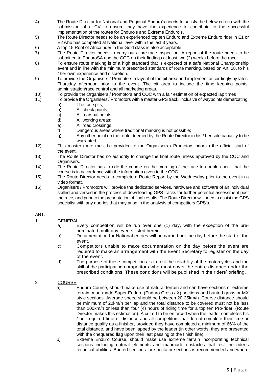- 4) The Route Director for National and Regional Enduro's needs to satisfy the below criteria with the submission of a CV to ensure they have the experience to contribute to the successful implementation of the routes for Enduro's and Extreme Enduro's.
- 5) The Route Director needs to be an experienced top ten Enduro and Extreme Enduro rider in E1 or E2 who has competed at National level within the last 3 years.
- 6) A top 15 Roof of Africa rider in the Gold class is also acceptable.
- 7) The Route Director needs to carry out a pre-race inspection. A report of the route needs to be submitted to EnduroSA and the COC on their findings at least two (2) weeks before the race.
- 8) To ensure route marking is of a high standard that is expected of a safe National Championship event and in line with the minimum prescribed standards of route marking, based on Art. 28, to his / her own experience and discretion.
- 9) To provide the Organisers / Promoters a layout of the pit area and implement accordingly by latest Thursday afternoon prior to the event. The pit area to include the time keeping points, administration/race control and all marketing areas.
- 10) To provide the Organisers / Promotors and COC with a fair estimation of expected lap times
- 11) To provide the Organisers / Promotors with a master GPS track, inclusive of waypoints demarcating: a) The race pits;
	- b) All check points;
	- c) All marshal points;
	- d) All working areas;
	- e) All road crossings;
	- f) Dangerous areas where traditional marking is not possible;
	- g) Any other point on the route deemed by the Route Director in his / her sole capacity to be warranted.
- 12) This master route must be provided to the Organisers / Promotors prior to the official start of the event.
- 13) The Route Director has no authority to change the final route unless approved by the COC and Organisers.
- 14) The Route Director has to ride the course on the morning of the race to double check that the course is in accordance with the information given to the COC.
- 15) The Route Director needs to complete a Route Report by the Wednesday prior to the event in a video format.
- 16) Organisers / Promotors will provide the dedicated services, hardware and software of an individual skilled and versed in the process of downloading GPS tracks for further potential assessment post the race, and prior to the presentation of final results. The Route Director will need to assist the GPS specialist with any queries that may arise in the analysis of competitors GPS's.

#### ART.

- 1. GENERAL
	- a) Every competition will be run over one (1) day, with the exception of the prenominated multi-day events listed herein.
	- b) Documentation for National entries will be carried out the day before the start of the event.
	- c) Competitors unable to make documentation on the day before the event are required to make an arrangement with the Event Secretary to register on the day of the event.
	- d) The purpose of these competitions is to test the reliability of the motorcycles and the skill of the participating competitors who must cover the entire distance under the prescribed conditions. These conditions will be published in the riders' briefing.

#### 2. COURSE

- a) Enduro Course, should make use of natural terrain and can have sections of extreme terrain, man-made Super Enduro (Enduro Cross / X) sections and bunted grass or MX style sections. Average speed should be between 20-35km/h. Course distance should be minimum of 20km/h per lap and the total distance to be covered must not be less than 100km/h or less than four (4) hours of riding time for a top ten Pro-rider. (Route Director makes this estimation). A cut off to be enforced when the leader completes his / her required time or distance and all competitors that do not complete their time or distance qualify as a finisher, provided they have completed a minimum of 66% of the total distance, and have been lapped by the leader (in other words, they are presented with the chequered flag upon their last passing of the finish line).
- b) Extreme Enduro Course, should make use extreme terrain incorporating technical sections including natural elements and manmade obstacles that test the rider's technical abilities. Bunted sections for spectator sections is recommended and where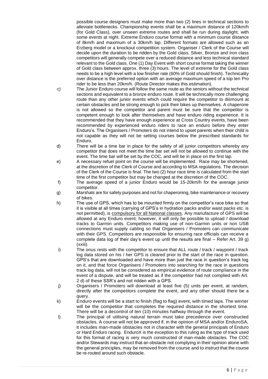possible course designers must make more than two (2) lines in technical sections to alleviate bottlenecks. Championship events shall be a maximum distance of 120km/h (for Gold Class), over unseen extreme routes and shall be run during daylight, with some events at night. Extreme Enduro course format with a minimum course distance of 8km/h and maximum of a 30km/h lap. Different formats are allowed such as an Erzberg model or a knockout competition system. Organiser / Clerk of the Course will decide upon the duration to be ridden by the Gold class. Silver, Bronze and Iron class competitors will generally compete over a reduced distance and less technical standard relevant to the Gold class. One (1) Day Event with short course format taking the winner of Gold class between approx. three (3) hours. The level of extreme for the Gold class needs to be a high level with a low finisher rate (60% of Gold should finish). Technicality over distance is the preferred option with an average maximum speed of a top ten Pro rider to be less than 20km/h. (Route Director makes this estimation).

- c) The Junior Enduro course will follow the same route as the seniors without the technical sections and equivalent to a bronze enduro route. It will be technically more challenging route than any other junior events which could require the competitor to dismount at certain obstacles and be strong enough to pick their bikes up themselves. A chaperone is not allowed so the competitor and parent must be sure that the competitor is competent enough to look after themselves and have enduro riding experience. It is recommended that they have enough experience at Cross Country events, have been recommended by experienced enduro riders to race an enduro before they enter Enduro's. The Organisers / Promoters do not intend to upset parents when their child is not capable as they will not be setting courses below the prescribed standards for Enduro.
- d) There will be a time bar in place for the safety of all junior competitors whereby any competitor that does not meet the time bar set will not be allowed to continue with the event. The time bar will be set by the COC, and will be in place on the first lap.
- e) A necessary refuel point on the course will be implemented. Race may be shortened, at the discretion of the Clerk of Course and according to MSA regulations. The decision of the Clerk of the Course is final. The two (2) hour race time is calculated from the start time of the first competitor but may be changed at the discretion of the COC.
- f) The average speed of a junior Enduro would be 15-20km/h for the average junior competitor.
- g) Marshals are for safety purposes and not for chaperoning, bike maintenance or recovery of bikes.
- h) The use of GPS, which has to be mounted firmly on the competitor's race bike so that it is visible at all times (carrying of GPS's in hydration packs and/or waist packs etc. is not permitted), is compulsory for all National classes. Any manufacture of GPS will be allowed at any Enduro event; however, it will only be possible to upload / download tracks to Garmin units. Competitors making use of non-Garmin units or non USB connections must supply cabling so that Organisers / Promoters can communicate with their GPS. Competitors are responsible for ensuring race officials can receive a complete data log of their day's event up until the results are final – Refer Art. 39 g) (xxiii).
- i) The onus rests with the competitor to ensure that ALL route / track / waypoint / track log data stored on his / her GPS is cleared prior to the start of the race in question. GPS's that are downloaded and have more than just the race in question's track log on it, and that force Organisers / Promoters into searching for the race in questions track log data, will not be considered as empirical evidence of route compliance in the event of a dispute, and will be treated as if the competitor had not complied with Art. 2 d) of these SSR's and not ridden with a GPS.
- j) Organisers / Promoters will download at least five (5) units per event, at random, directly after the competitors complete the event, and any other should there be a query.
- k) Enduro events will be a start to finish (flag to flag) event, with timed laps. The winner will be the competitor that completes the required distance in the shortest time. There will be a decontrol of ten (10) minutes halfway through the event.
- l) The principal of utilising natural terrain must take precedence over constructed obstacles. A course will not be approved if, in the opinion of MSA and/or EnduroSA, it includes man-made obstacles not in character with the general principals of Enduro or Hard Enduro racing. EnduroX is the exception to this ruling as the type of track used for this format of racing is very much constructed of man-made obstacles. The COC and/or Stewards may instruct that an obstacle not complying in their opinion alone with the general principles, may be removed from the course and to instruct that the course be re-routed around such obstacle.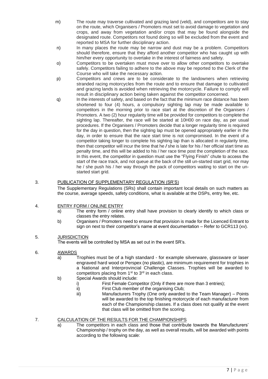- m) The route may traverse cultivated and grazing land (veld), and competitors are to stay on the route, which Organisers / Promoters must set to avoid damage to vegetation and crops, and away from vegetation and/or crops that may be found alongside the designated route. Competitors not found doing so will be excluded from the event and reported to MSA for further disciplinary action.
- n) In many places the route may be narrow and dust may be a problem. Competitors should therefore, ensure that they afford another competitor who has caught up with him/her every opportunity to overtake in the interest of fairness and safety.
- o) Competitors to be overtaken must move over to allow other competitors to overtake safely. Competitors failing to adhere to the above may be reported to the Clerk of the Course who will take the necessary action.
- p) Competitors and crews are to be considerate to the landowners when retrieving stranded racing motorcycles from the route and to ensure that damage to cultivated and grazing lands is avoided when retrieving the motorcycle. Failure to comply will result in disciplinary action being taken against the competitor concerned.
- q) In the interests of safety, and based on the fact that the minimum race distance has been shortened to four (4) hours, a compulsory sighting lap may be made available to competitors in the morning prior to race start at the discretion of the Organisers / Promoters. A two (2) hour regularity time will be provided for competitors to complete the sighting lap. Thereafter, the race will be started at 10H00 on race day, as per usual procedures. If the Organisers / Promoters decide that a longer regularity time is required for the day in question, then the sighting lap must be opened appropriately earlier in the day, in order to ensure that the race start time is not compromised. In the event of a competitor taking longer to complete his sighting lap than is allocated in regularity time, then that competitor will incur the time that he */* she is late for his / her official start time as penalty time, and this will be added to his / her race time post the completion of the race. In this event, the competitor in question must use the "Flying Finish" chute to access the start of the race track, and not queue at the back of the still un-started start grid, nor may he / she push his / her way through the pack of competitors waiting to start on the unstarted start grid.

#### 3. PUBLICATION OF SUPPLEMENTARY REGULATION (SR'S)

The Supplementary Regulations (SRs) shall contain important local details on such matters as the course, average speeds, safety conditions, what is available at the DSPs, entry fee, etc.

#### 4. ENTRY FORM / ONLINE ENTRY

- a) The entry form / online entry shall have provision to clearly identify to which class or classes the entry relates.
- b) Organisers / Promoters need to ensure that provision is made for the Licenced Entrant to sign on next to their competitor's name at event documentation – Refer to GCR113 (xv).

#### 5. JURISDICTION

The events will be controlled by MSA as set out in the event SR's.

#### 6. AWARDS

- a) Trophies must be of a high standard for example silverware, glassware or laser engraved hard wood or Perspex (no plastic), are minimum requirement for trophies in a National and Interprovincial Challenge Classes. Trophies will be awarded to competitors placing from 1<sup>st</sup> to 3<sup>rd</sup> in each class.
- b) Special Awards should include:
	- i) First Female Competitor (Only if there are more than 3 entries);<br>ii) First Club member of the organising Club;
		- First Club member of the organising Club;
	- iii) Manufacturers Trophy (One only awarded to the Team Manager) Points will be awarded to the top finishing motorcycle of each manufacturer from each of the Championship classes. If a class does not qualify at the event that class will be omitted from the scoring.

#### 7. CALCULATION OF THE RESULTS FOR THE CHAMPIONSHIPS

a) The competitors in each class and those that contribute towards the Manufacturers' Championship / trophy on the day, as well as overall results, will be awarded with points according to the following scale: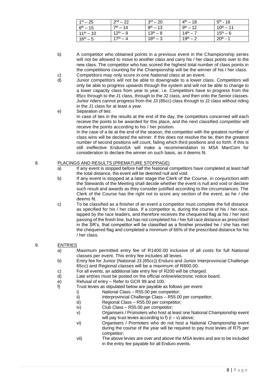| $1^{st} - 25$  | $2^{nd} - 22$ | $3^{\text{rd}} - 20$ | $4^{th} - 18$        | $5th - 16$     |
|----------------|---------------|----------------------|----------------------|----------------|
| $6^{th} - 15$  | $7th - 14$    | $8^{th} - 13$        | $9^{th} - 12$        | $10^{th} - 11$ |
| $11^{th} - 10$ | $12^{th} - 9$ | $13^{th} - 8$        | $14^{\text{th}} - 7$ | $15^{th} - 6$  |
| $16^{th} - 5$  | $17^{th} - 4$ | $18^{th} - 3$        | $19^{th} - 2$        | $20^{th}$ - 1  |

- b) A competitor who obtained points in a previous event in the Championship series will not be allowed to move to another class and carry his / her class points over to the new class. The competitor who has scored the highest total number of class points in the competitions counting for the Championship will be the winner of his / her class. c) Competitors may only score in one National class at an event.
- d) Junior competitors will not be able to downgrade to a lower class. Competitors will only be able to progress upwards through the system and will not be able to change to a lower capacity class from year to year. i.e. Competitors have to progress from the 85cc through to the J1 class, through to the J2 class, and then onto the Senior classes. Junior riders cannot progress from the J3 (85cc) class through to J2 class without riding in the J1 class for at least a year.
- e) Separation of ties: In case of ties in the results at the end of the day, the competitors concerned will each receive the points to be awarded for this place, and the next classified competitor will receive the points according to his / her position. In the case of a tie at the end of the season, the competitor with the greatest number of

class wins will be declared the winner. If this does not resolve the tie, then the greatest number of second positions will count, failing which third positions and so forth. If this is still ineffective EnduroSA will make a recommendation to MSA ManCom for consideration to declare the winner on such basis, as it deems fit.

#### 8. PLACINGS AND RESULTS (PREMATURE STOPPAGE)

- a) If any event is stopped before half the National competitors have completed at least half the total distance, the event will be deemed null and void.
- b) If any event is stopped at a later stage the Clerk of the Course, in conjunction with the Stewards of the Meeting shall decide whether the event is null and void or declare such result and awards as they consider justified according to the circumstances. The Clerk of the Course has the right not to score any section of the event, as he / she deems fit.
- c) To be classified as a finisher of an event a competitor must complete the full distance as specified for his / her class. If a competitor is, during the course of his / her race, lapped by the race leaders, and therefore receives the chequered flag at his / her next passing of the finish line, but has not completed his / her full race distance as prescribed in the SR's, that competitor will be classified as a finisher provided he / she has met the chequered flag and completed a minimum of 66% of the prescribed distance for his / her class.

# 9. ENTRIES

- a) Maximum permitted entry fee of R1400.00 inclusive of all costs for full National classes per event. This entry fee includes all levies.
- b) Entry fee for Junior (National J3 (85cc)) Enduro and Junior Interprovincial Challenge 65cc) and Regional classes will be a maximum of R800.00.
- c) For all events, an additional late entry fee of R200 will be charged.
- d) Late entries must be posted on the official online/electronic notice board.
- e) Refusal of entry Refer to GCR 99 and 100.
- f) Trust levies as stipulated below are payable as follows per event:
	- i) National Class R55.00 per competitor;
		- ii) Interprovincial Challenge Class R55.00 per competitor;
		- iii) Regional Class R55.00 per competitor;
		- iv) Club Class R55.00 per competitor;
		- v) Organisers / Promoters who host at least one National Championship event will pay trust levies according to f)  $(i - v)$  above;
		- vi) Organisers / Promoters who do not host a National Championship event during the course of the year will be required to pay trust levies of R75 per competitor;
		- vii) The above levies are over and above the MSA levies and are to be included in the entry fee payable for all Enduro events.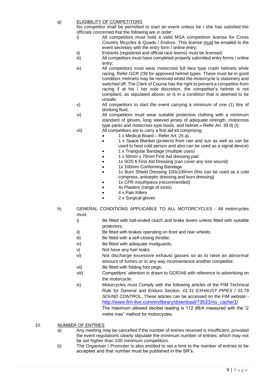#### g) ELIGIBILITY OF COMPETITORS

No competitor shall be permitted to start an event unless he / she has satisfied the officials concerned that the following are in order:

- i) All competitors must hold a valid MSA competition license for Cross Country Mcycles & Quads / Enduro. This license must be emailed to the event secretary with the entry form / online entry;
- ii) Entrants (registered and official race teams) must be licensed;
- iii) All competitors must have completed properly submitted entry forms / online entry;
- iv) All competitors must wear motocross full face type crash helmets while racing. Refer GCR 239 for approved helmet types. These must be in good condition. Helmets may be removed whilst the motorcycle is stationery and switched off. The Clerk of Course has the right to prevent a competitor from racing if at his / her sole discretion, the competitor's helmet is not compliant, as stipulated above, or is in a condition that is deemed to be unsafe;
- v) All competitors to start the event carrying a minimum of one (1) litre of drinking fluid;
- vi) All competitors must wear suitable protective clothing with a minimum standard of gloves, long sleeved jersey of adequate strength, motocross type pants and motocross type boots, and helmet – Refer Art. 39 d) (i);
- vii) All competitors are to carry a first aid kit comprising:
	- 1 x Medical Board Refer Art. 25 a)
	- 1 x Space Blanket (protects from rain and sun as well as can be used to heat cold person and also can be used as a signal device)
	- 1 x Triangular Bandage (multiple uses)
	- 1 x 50mm x 70mm First Aid dressing pad
	- 1x SOS 6 First Aid Dressing (can cover any size wound)
	- 1x 100mm Conforming Bandage
	- 1x Burn Shield Dressing 100x100mm (this can be used as a cold compress, antiseptic dressing and burn dressing)
	- 1x CPR mouthpiece (recommended)
	- 4x Plasters (range of sizes)
	- 4 x Pain Killers
		- 2 x Surgical gloves
- h) GENERAL CONDITIONS APPLICABLE TO ALL MOTORCYCLES All motorcycles must:
	- i) Be fitted with ball-ended clutch and brake levers unless fitted with suitable protectors;
	- ii) Be fitted with brakes operating on front and rear wheels;
	- iii) Be fitted with a self-closing throttle;
	- iv) Be fitted with adequate mudguards;
	- v) Not have any fuel leaks;
	- vi) Not discharge excessive exhaust gasses so as to raise an abnormal amount of fumes or in any way inconvenience another competitor;
	- vii) Be fitted with folding foot pegs;
	- viii) Competitors' attention is drawn to GCR246 with reference to advertising on the motorcycle;
	- ix) Motorcycles must Comply with the following articles of the FIM Technical Rule for General and Enduro Section: *01.31 EXHAUST PIPES / 01.79 SOUND CONTROL.* These articles can be accessed on the FIM website [http://www.fim-live.com/en/library/download/73533/no\\_cache/1/](http://www.fim-live.com/en/library/download/73533/no_cache/1/) The maximum allowed decibel reading is 112 dB/A measured with the "2 metre max" method for motorcycles;

10. NUMBER OF ENTRIES

- a) Any meeting may be cancelled if the number of entries received is insufficient, provided the event regulations clearly stipulate the minimum number of entries; which may not be set higher than 100 minimum competitors.
- b) The Organiser / Promoter is also entitled to set a limit to the number of entries to be accepted and that number must be published in the SR's.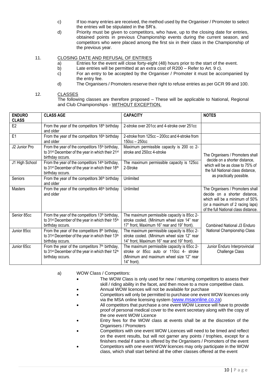- c) If too many entries are received, the method used by the Organiser / Promoter to select the entries will be stipulated in the SR's.
- d) Priority must be given to competitors, who have, up to the closing date for entries, obtained points in previous Championship events during the current season, and competitors who were placed among the first six in their class in the Championship of the previous year.

#### 11. CLOSING DATE AND REFUSAL OF ENTRIES

- a) Entries for the event will close forty-eight (48) hours prior to the start of the event.
- b) Late entries will be permitted at an extra cost of R200 Refer to Art. 9 c).
- c) For an entry to be accepted by the Organiser / Promoter it must be accompanied by the entry fee.
- d) The Organisers / Promoters reserve their right to refuse entries as per GCR 99 and 100.

#### 12. CLASSES

The following classes are therefore proposed – These will be applicable to National, Regional and Club Championships - WITHOUT EXCEPTION.

| <b>ENDURO</b>  | <b>CLASS AGE</b>                                                         | <b>CAPACITY</b>                               | <b>NOTES</b>                         |
|----------------|--------------------------------------------------------------------------|-----------------------------------------------|--------------------------------------|
| <b>CLASS</b>   |                                                                          |                                               |                                      |
| F <sub>2</sub> | From the year of the competitors 18th birthday                           | 2-stroke over 201cc and 4-stroke over 251cc   |                                      |
|                | and older                                                                |                                               |                                      |
| E <sub>1</sub> | From the year of the competitors 16th birthday                           | 2-stroke from 125cc - 200cc and 4-stroke from |                                      |
|                | and older                                                                | $150cc - 250cc$                               |                                      |
| J2 Junior Pro  | From the year of the competitors 15 <sup>th</sup> birthday,              | Maximum permissible capacity is 200 cc 2-     |                                      |
|                | to 31 <sup>st</sup> December of the year in which their 21 <sup>st</sup> | stroke and 250cc 4-stroke                     | The Organisers / Promoters shall     |
|                | birthday occurs.                                                         |                                               | decide on a shorter distance,        |
| J1 High School | From the year of the competitors 14 <sup>th</sup> birthday,              | The maximum permissible capacity is 125cc     | which will be as close to 75% of     |
|                | to 31 <sup>st</sup> December of the year in which their 18 <sup>th</sup> | 2-Stroke                                      | the full National class distance.    |
|                | birthday occurs.                                                         |                                               | as practically possible.             |
| Seniors        | From the year of the competitors 36 <sup>th</sup> birthday               | Unlimited                                     |                                      |
|                | and older                                                                |                                               |                                      |
| Masters        | From the year of the competitors 46 <sup>th</sup> birthday               | Unlimited                                     | The Organisers / Promoters shall     |
|                | and older                                                                |                                               | decide on a shorter distance,        |
|                |                                                                          |                                               | which will be a minimum of 50%       |
|                |                                                                          |                                               | (or a maximum of 2 racing laps)      |
|                |                                                                          |                                               | of the full National class distance. |
| Senior 85cc    | From the year of the competitors 13th birthday,                          | The maximum permissible capacity is 85cc 2-   |                                      |
|                | to 31 <sup>st</sup> December of the year in which their 15 <sup>th</sup> | stroke cooled. (Minimum wheel size 14" rear   |                                      |
|                | birthday occurs.                                                         | 17" front, Maximum 16" rear and 19" front).   | Combined National J3 Enduro          |
| Junior 85cc    | From the year of the competitors 8th birthday,                           | The maximum permissible capacity is 85cc 2-   | National Championship Class          |
|                | to 31 <sup>st</sup> December of the year in which their 13 <sup>th</sup> | stroke cooled. (Minimum wheel size 12" rear   |                                      |
|                | birthday occurs.                                                         | 14" front, Maximum 16" rear and 19" front).   |                                      |
| Junior 65cc    | From the year of the competitors 7 <sup>th</sup> birthday,               | The maximum permissible capacity is 65cc 2-   | Junior Enduro Interprovincial        |
|                | to 31 <sup>st</sup> December of the year in which their 12 <sup>th</sup> | stroke or 85cc auto or 110cc 4- stroke        | <b>Challenge Class</b>               |
|                | birthday occurs.                                                         | (Minimum and maximum wheel size 12" rear      |                                      |
|                |                                                                          | 14" front).                                   |                                      |

- a) WOW Class / Competitors:
	- The WOW Class is only used for new / returning competitors to assess their skill / riding ability in the facet, and then move to a more competitive class.
		- Annual WOW licences will not be available for purchase
	- Competitors will only be permitted to purchase one event WOW licences only via the MSA online licensing system ([www.msaonline.co.za](http://www.msaonline.co.za/))
	- All competitors that purchase a one event WOW Licence will have to provide proof of personal medical cover to the event secretary along with the copy of the one event WOW Licence
	- Entry fees for the WOW class at events shall be at the discretion of the Organisers / Promoters
	- Competitors with one event WOW Licences will need to be timed and reflect on the event results, but will not garner any points / trophies, except for a finishers medal if same is offered by the Organisers / Promoters of the event
	- Competitors with one event WOW licences may only participate in the WOW class, which shall start behind all the other classes offered at the event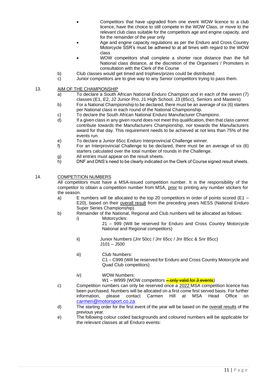- Competitors that have upgraded from one event WOW licence to a club licence, have the choice to still compete in the WOW Class, or move to the relevant club class suitable for the competitors age and engine capacity, and for the remainder of the year only
- Age and engine capacity regulations as per the Enduro and Cross Country Motorcycle SSR's must be adhered to at all times with regard to the WOW class
- WOW competitors shall complete a shorter race distance than the full National class distance, at the discretion of the Organisers / Promoters in consultation with the Clerk of the Course
- b) Club classes would get timed and trophies/prizes could be distributed.
- c) Junior competitors are to give way to any Senior competitors trying to pass them.

#### 13. AIM OF THE CHAMPIONSHIP

- a) To declare a South African National Enduro Champion and in each of the seven (7) classes (E1, E2, J2 Junior Pro, J1 High School, J3 (85cc), Seniors and Masters).
- b) For a National Championship to be declared, there must be an average of six (6) starters per National class in each round of the National Championship.
- c) To declare the South African National Enduro Manufacturer Champion*s*.
- d) If a given class in any given round does not meet this qualification, then that class cannot contribute towards the Manufacturers Championship, nor towards the Manufacturers award for that day. This requirement needs to be achieved at not less than 75% of the events run.
- e) To declare a Junior 65cc Enduro Interprovincial Challenge winner.
- f) For an Interprovincial Challenge to be declared, there must be an average of six (6) starters calculated over the total number of rounds in the Challenge.
- g) All entries must appear on the result sheets.
- h) DNF and DNS's need to be clearly indicated on the Clerk of Course signed result sheets.

#### 14. COMPETITION NUMBERS

All competitors must have a MSA-issued competition number. It is the responsibility of the competitor to obtain a competition number from MSA, prior to printing any number stickers for the season.

- a) E numbers will be allocated to the top 20 competitors in order of points scored (E1 E20), based on their overall result from the preceding years NESS (National Enduro Super Series Championship).
- b) Remainder of the National, Regional and Club numbers will be allocated as follows:
	- i) Motorcycles:
		- 21 999 (Will be reserved for Enduro and Cross Country Motorcycle National and Regional competitors)
	- ii) Junior Numbers (Jnr 50cc / Jnr 65cc / Jnr 85cc & Snr 85cc) J101 – J500
	- iii) Club Numbers: C1 – C999 (Will be reserved for Enduro and Cross Country Motorcycle and Quad Club competitors)
	- iv) WOW Numbers:

W1 – W999 (WOW competitors <mark>– only valid for 3 events</mark>)

- c) Competition numbers can only be reserved once a 2022 MSA competition licence has been purchased. Numbers will be allocated on a first come first served basis. For further information, please contact Carmen Hill at MSA Head Office on [carmen@motorsport.co.za](mailto:carmen@motorsport.co.za)
- d) The starting order for the first event of the year will be based on the overall results of the previous year.
- e) The following colour coded backgrounds and coloured numbers will be applicable for the relevant classes at all Enduro events: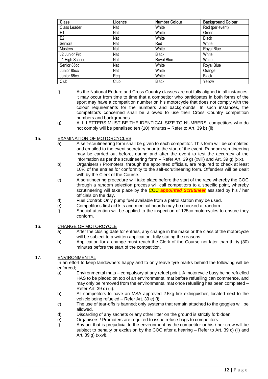| <b>Class</b>   | Licence    | <b>Number Colour</b> | <b>Background Colour</b> |
|----------------|------------|----------------------|--------------------------|
| Class Leader   | Nat        | White                | Red (per event)          |
| E1             | Nat        | White                | Green                    |
| E <sub>2</sub> | <b>Nat</b> | White                | <b>Black</b>             |
| Seniors        | Nat        | Red                  | White                    |
| Masters        | Nat        | White                | Royal Blue               |
| J2 Junior Pro  | Nat        | <b>Black</b>         | White                    |
| J1 High School | Nat        | Royal Blue           | White                    |
| Senior 85cc    | Nat        | White                | Royal Blue               |
| Junior 85cc    | Nat        | White                | Orange                   |
| Junior 65cc    | Reg        | White                | <b>Black</b>             |
| Club           | Club       | <b>Black</b>         | Yellow                   |

- f) As the National Enduro and Cross Country classes are not fully aligned in all instances, it may occur from time to time that a competitor who participates in both forms of the sport may have a competition number on his motorcycle that does not comply with the colour requirements for the numbers and backgrounds. In such instances, the competitor/s concerned shall be allowed to use their Cross Country competition numbers and backgrounds.
- g) ALL LETTERS MUST BE THE IDENTICAL SIZE TO NUMBERS, competitors who do not comply will be penalised ten (10) minutes – Refer to Art. 39 b) (ii).

#### 15. EXAMINATION OF MOTORCYCLES

- a) A self-scrutineering form shall be given to each competitor. This form will be completed and emailed to the event secretary prior to the start of the event. Random scrutineering may be carried out before, during and after the event to test the accuracy of the information as per the scrutineering form – Refer Art. 39 g) (xviii) and Art. 39 g) (xix).
- b) Organisers / Promoters, through the appointed officials, are required to check at least 10% of the entries for conformity to the self-scrutineering form. Offenders will be dealt with by the Clerk of the Course.
- c) A scrutineering procedure will take place before the start of the race whereby the COC through a random selection process will call competitors to a specific point, whereby scrutineering will take place by the **COC** *appointed Scrutineer* assisted by his / her officials on the day.
- d) Fuel Control: Only pump fuel available from a petrol station may be used.
- e) Competitor's first aid kits and medical boards may be checked at random.
- f) Special attention will be applied to the inspection of 125cc motorcycles to ensure they conform.

#### 16. CHANGE OF MOTORCYCLE

- a) After the closing date for entries, any change in the make or the class of the motorcycle will be subject to a written application, fully stating the reasons.
- b) Application for a change must reach the Clerk of the Course not later than thirty (30) minutes before the start of the competition.

#### 17. ENVIRONMENTAL

In an effort to keep landowners happy and to only leave tyre marks behind the following will be enforced;

- a) Environmental mats compulsory at any refuel point. A motorcycle busy being refuelled HAS to be placed on top of an environmental mat before refuelling can commence, and may only be removed from the environmental mat once refuelling has been completed – Refer Art. 39 d) (ii).
- b) All competitors to have an MSA approved 2.5kg fire extinguisher, located next to the vehicle being refueled – Refer Art. 39 e) (i).
- c) The use of tear-offs is banned; only systems that remain attached to the goggles will be allowed.
- d) Discarding of any sachets or any other litter on the ground is strictly forbidden.
- e) Organisers / Promoters are required to issue refuse bags to competitors.
- f) Any act that is prejudicial to the environment by the competitor or his / her crew will be subject to penalty or exclusion by the COC after a hearing – Refer to Art. 39 c) (ii) and Art. 39 g) (xxvi).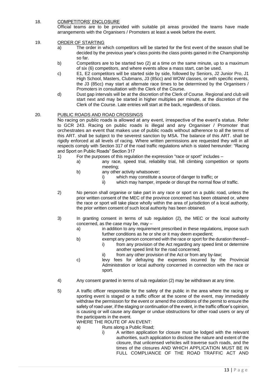#### 18. COMPETITORS' ENCLOSURE

Official teams are to be provided with suitable pit areas provided the teams have made arrangements with the Organisers / Promoters at least a week before the event.

#### 19. ORDER OF STARTING

- a) The order in which competitors will be started for the first event of the season shall be decided by the previous year's class points the class points gained in the Championship so far.
- b) Competitors are to be started two (2) at a time on the same minute, up to a maximum of six (6) competitors, and where events allow a mass start, can be used.
- c) E1, E2 competitors will be started side by side, followed by Seniors, J2 Junior Pro, J1 High School, Masters, Clubmans, J3 (85cc) and WOW classes, or with specific events, the J3 (85cc) may start at alternate race times to be determined by the Organisers / Promoters in consultation with the Clerk of the Course.
- d) Dust gap intervals will be at the discretion of the Clerk of Course. Regional and club will start next and may be started in higher multiples per minute, at the discretion of the Clerk of the Course. Late entries will start at the back, regardless of class.

#### 20. PUBLIC ROADS AND ROAD CROSSINGS

No racing on public roads is allowed at any event, irrespective of the event's status. Refer to GCR 243. Racing on public roads is illegal and any Organiser / Promoter that orchestrates an event that makes use of public roads without adherence to all the terms of this ART. shall be subject to the severest sanction by MSA. The balance of this ART. shall be rigidly enforced at all levels of racing. Where written permissions are requested they will in all respects comply with Section 317 of the road traffic regulations which is stated hereunder: "Racing and Sport on Public Roads" Section 317

- 1) For the purposes of this regulation the expression "race or sport" includes
	- a) any race, speed trial, reliability trial, hill climbing competition or sports meeting;
		- b) any other activity whatsoever;
			- i) which may constitute a source of danger to traffic; or
			- ii) which may hamper, impede or disrupt the normal flow of traffic.
- 2) No person shall organise or take part in any race or sport on a public road, unless the prior written consent of the MEC of the province concerned has been obtained or, where the race or sport will take place wholly within the area of jurisdiction of a local authority, the prior written consent of such local authority has been obtained.
- 3) In granting consent in terms of sub regulation (2), the MEC or the local authority concerned, as the case may be, may
	- a) in addition to any requirement prescribed in these regulations, impose such further conditions as he or she or it may deem expedient;
	- b) exempt any person concerned with the race or sport for the duration thereof–
		- i) from any provision of the Act regarding any speed limit or determine another speed limit for the road concerned;
		- ii) from any other provision of the Act or from any by-law;
	- c) levy fees for defraying the expenses incurred by the Provincial Administration or local authority concerned in connection with the race or sport.
- 4) Any consent granted in terms of sub regulation (2) may be withdrawn at any time.
- 5) A traffic officer responsible for the safety of the public in the area where the racing or sporting event is staged or a traffic officer at the scene of the event, may immediately withdraw the permission for the event or amend the conditions of the permit to ensure the safety of road user, if the staging or continuation of the event, in the traffic officer's opinion, is causing or will cause any danger or undue obstructions for other road users or any of the participants in the event.

WHERE THE ROUTE OF AN EVENT:

- a) Runs along a Public Road;
	- i) A written application for closure must be lodged with the relevant authorities, such application to disclose the nature and extent of the closure, that unlicensed vehicles will traverse such roads, and the times of the closures AND WHICH APPLICATION MUST BE IN FULL COMPLIANCE OF THE ROAD TRAFFIC ACT AND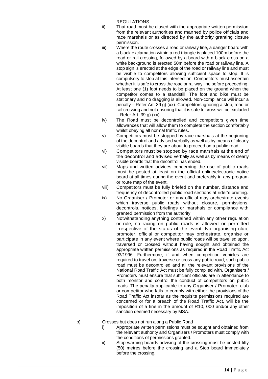REGULATIONS.

- ii) That road must be closed with the appropriate written permission from the relevant authorities and manned by police officials and race marshals or as directed by the authority granting closure permission.
- iii) Where the route crosses a road or railway line, a danger board with a black exclamation within a red triangle is placed 100m before the road or rail crossing, followed by a board with a black cross on a white background is erected 50m before the road or railway line. A stop sign is erected at the edge of the road or railway line and must be visible to competitors allowing sufficient space to stop. It is compulsory to stop at this intersection. Competitors must ascertain whether it is safe to cross the road or railway line before proceeding. At least one (1) foot needs to be placed on the ground when the competitor comes to a standstill. The foot and bike must be stationary and no dragging is allowed. Non-compliance will incur a penalty – Refer Art. 39 g) (xx). Competitors ignoring a stop, road or rail crossing and not ensuring that it is safe to cross will be excluded – Refer Art. 39 g) (xx)
- iv) The Road must be decontrolled and competitors given time allowances that will allow them to complete the section comfortably whilst obeying all normal traffic rules.
- v) Competitors must be stopped by race marshals at the beginning of the decontrol and advised verbally as well as by means of clearly visible boards that they are about to proceed on a public road.
- vi) Competitors must be stopped by race marshals at the end of the decontrol and advised verbally as well as by means of clearly visible boards that the decontrol has ended.
- vii) Maps and written advices concerning the use of public roads must be posted at least on the official online/electronic notice board at all times during the event and preferably in any program or route map of the event.
- viii) Competitors must be fully briefed on the number, distance and frequency of decontrolled public road sections at rider's briefing.
- ix) No Organiser / Promoter or any official may orchestrate events which traverse public roads without closure, permissions, decontrols, notices, briefings or marshals or compliance with granted permission from the authority.
- x) Notwithstanding anything contained within any other regulation or rule, no racing on public roads is allowed or permitted irrespective of the status of the event. No organising club, promoter, official or competitor may orchestrate, organise or participate in any event where public roads will be travelled upon, traversed or crossed without having sought and obtained the appropriate written permissions as required in the Road Traffic Act 93/1996. Furthermore, if and when competition vehicles are required to travel on, traverse or cross any public road, such public road must be decontrolled and all the relevant provisions of the National Road Traffic Act must be fully complied with. Organisers / Promoters must ensure that sufficient officials are in attendance to both monitor and control the conduct of competitors on public roads. The penalty applicable to any Organiser / Promoter, club or competitor who fails to comply with either the provisions of the Road Traffic Act insofar as the requisite permissions required are concerned or for a breach of the Road Traffic Act, will be the imposition of a fine in the amount of R10, 000 and/or any other sanction deemed necessary by MSA.

- b) Crosses but does not run along a Public Road
	- i) Appropriate written permissions must be sought and obtained from the relevant authority and Organisers / Promoters must comply with the conditions of permissions granted.
	- ii) Stop warning boards advising of the crossing must be posted fifty (50) metres before the crossing and a Stop board immediately before the crossing.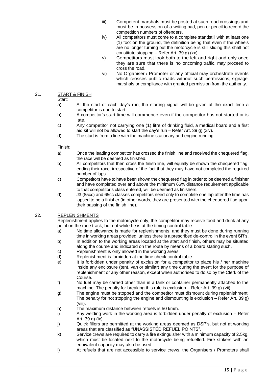- iii) Competent marshals must be posted at such road crossings and must be in possession of a writing pad, pen or pencil to record the competition numbers of offenders.
- iv) All competitors must come to a complete standstill with at least one (1) foot on the ground, the definition being that even if the wheels are no longer turning but the motorcycle is still sliding this shall not constitute stopping – Refer Art. 39 g) (xx).
- v) Competitors must look both to the left and right and only once they are sure that there is no oncoming traffic, may proceed to cross the road.
- vi) No Organiser / Promoter or any official may orchestrate events which crosses public roads without such permissions, signage, marshals or compliance with granted permission from the authority.

#### 21. START & FINISH

#### Start:

- a) At the start of each day's run, the starting signal will be given at the exact time a competitor is due to start.
- b) A competitor's start time will commence even if the competitor has not started or is late.
- c) Any competitor not carrying one (1) litre of drinking fluid, a medical board and a first aid kit will not be allowed to start the day's run – Refer Art. 39 g) (xiv).
- d) The start is from a line with the machine stationary and engine running.

#### Finish:

- a) Once the leading competitor has crossed the finish line and received the chequered flag, the race will be deemed as finished.
- b) All competitors that then cross the finish line, will equally be shown the chequered flag, ending their race, irrespective of the fact that they may have not completed the required number of laps.
- c) Competitors have to have been shown the chequered flag in order to be deemed a finisher and have completed over and above the minimum 66% distance requirement applicable to that competitor's class entered, will be deemed as finishers.
- d) J3 (85cc) and 65cc classes competitors need only to complete one lap after the time has lapsed to be a finisher (in other words, they are presented with the chequered flag upon their passing of the finish line).

### 22. REPLENISHMENTS

Replenishment applies to the motorcycle only, the competitor may receive food and drink at any point on the race track, but not while he is at the timing control table.

- a) No time allowance is made for replenishments, and they must be done during running time in working areas provided, unless there is a prescribed de-control in the event SR's.
- b) In addition to the working areas located at the start and finish, others may be situated along the course and indicated on the route by means of a board stating such.
- c) Replenishment is only allowed in the working areas.
- d) Replenishment is forbidden at the time check control table.
- e) It is forbidden under penalty of exclusion for a competitor to place his / her machine inside any enclosure (tent, van or similar) any time during the event for the purpose of replenishment or any other reason, except when authorised to do so by the Clerk of the Course.
- f) No fuel may be carried other than in a tank or container permanently attached to the machine. The penalty for breaking this rule is exclusion – Refer Art. 39 g) (vii).
- g) The engine must be stopped and the competitor must dismount during replenishment. The penalty for not stopping the engine and dismounting is exclusion  $-$  Refer Art. 39 g) (viii).
- h) The maximum distance between refuels is 50 km/h.
- i) Any welding work in the working area is forbidden under penalty of exclusion Refer Art. 39 g) (ix).
- j) Quick fillers are permitted at the working areas deemed as DSP's, but not at working areas that are classified as "UNASSISTED REFUEL POINTS".
- k) Service crews are required to carry a fire extinguisher with a minimum capacity of 2.5kg, which must be located next to the motorcycle being refuelled. Fire strikers with an equivalent capacity may also be used.
- l) At refuels that are not accessible to service crews, the Organisers / Promoters shall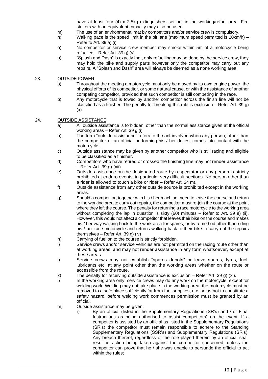have at least four (4) x 2.5kg extinguishers set out in the working/refuel area. Fire strikers with an equivalent capacity may also be used.

- m) The use of an environmental mat by competitors and/or service crew is compulsory.
- n) Walking pace is the speed limit in the pit lane (maximum speed permitted is 20km/h) Refer to Art. 39 a) (i)
- o) No competitor or service crew member may smoke within 5m of a motorcycle being refuelled – Refer Art. 39 g) (v)
- p) "Splash and Dash" is exactly that, only refuelling may be done by the service crew, they may hold the bike and supply parts however only the competitor may carry out any repairs. A "Splash and Dash" area will always be deemed as a none working area.

#### 23. OUTSIDE POWER

- a) Throughout the meeting a motorcycle must only be moved by its own engine power, the physical efforts of its competitor, or some natural cause, or with the assistance of another competing competitor, provided that such competitor is still competing in the race.
- b) Any motorcycle that is towed by another competitor across the finish line will not be classified as a finisher. The penalty for breaking this rule is exclusion – Refer Art. 39 g)  $(x)$ .

#### 24. OUTSIDE ASSISTANCE

- a) All outside assistance is forbidden, other than the normal assistance given at the official working areas – Refer Art. 39 g (i)
- b) The term "outside assistance" refers to the act involved when any person, other than the competitor or an official performing his / her duties, comes into contact with the motorcycle.
- c) Outside assistance may be given by another competitor who is still racing and eligible to be classified as a finisher.
- d) Competitors who have retired or crossed the finishing line may not render assistance – Refer Art. 39 g) (xii).
- e) Outside assistance on the designated route by a spectator or any person is strictly prohibited at enduro events, in particular very difficult sections. No person other than a rider is allowed to touch a bike or rider – Refer Art. 24 m).
- f) Outside assistance from any other outside source is prohibited except in the working areas.
- g) Should a competitor, together with his / her machine, need to leave the course and return to the working area to carry out repairs, the competitor must re-join the course at the point where they left the course. The penalty for returning a race motorcycle to the working area without completing the lap in question is sixty (60) minutes – Refer to Art. 39 e) (ii). However, this would not affect a competitor that leaves their bike on the course and makes his / her way walking back to the work area for spares, or by a method other than riding his / her race motorcycle and returns walking back to their bike to carry out the repairs themselves – Refer Art. 39 g) (iv)
- h) Carrying of fuel on to the course is strictly forbidden.
- i) Service crews and/or service vehicles are not permitted on the racing route other than at working areas, and may not render assistance in any form whatsoever, except at these areas.
- j) Service crews may not establish "spares depots" or leave spares, tyres, fuel, lubricants etc. at any point other than the working areas whether on the route or accessible from the route.
- k) The penalty for receiving outside assistance is exclusion Refer Art. 39 g) (xi).
- l) In the working area only, service crews may do any work on the motorcycle, except for welding work. Welding may not take place in the working area, the motorcycle must be removed to a safe place sufficiently far from fuel supplies, etc. so as not to constitute a safety hazard, before welding work commences permission must be granted by an official.
- m) Outside assistance may be given:
	- i) By an official (listed in the Supplementary Regulations (SR's) and / or Final Instructions as being authorised to assist competitors) on the event. If a competitor is assisted by an official as listed in the Supplementary Regulations (SR's) the competitor must remain responsible to adhere to the Standing Supplementary Regulations (SSR's) and Supplementary Regulations (SR's). Any breach thereof, regardless of the role played therein by an official shall result in action being taken against the competitor concerned, unless the competitor can prove that he / she was unable to persuade the official to act within the rules;

16 | P a g e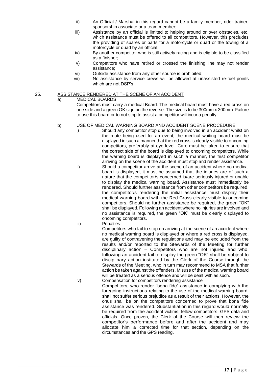- ii) An Official / Marshal in this regard cannot be a family member, rider trainer, sponsorship associate or a team member;
- iii) Assistance by an official is limited to helping around or over obstacles, etc. which assistance must be offered to all competitors. However, this precludes the providing of spares or parts for a motorcycle or quad or the towing of a motorcycle or quad by an official;
- iv) By another competitor who is still actively racing and is eligible to be classified as a finisher;
- v) Competitors who have retired or crossed the finishing line may not render assistance;
- vi) Outside assistance from any other source is prohibited;
- vii) No assistance by service crews will be allowed at unassisted re-fuel points which are not DSP's.

#### 25. ASSISTANCE RENDERED AT THE SCENE OF AN ACCIDENT

a) MEDICAL BOARDS

Competitors must carry a medical Board. The medical board must have a red cross on one side and a green OK sign on the reverse. The size is to be 300mm x 300mm. Failure to use this board or to not stop to assist a competitor will incur a penalty.

#### b) USE OF MEDICAL WARNING BOARD AND ACCIDENT SCENE PROCEDURE

- i) Should any competitor stop due to being involved in an accident whilst on the route being used for an event, the medical waiting board must be displayed in such a manner that the red cross is clearly visible to oncoming competitors, preferably at eye level. Care must be taken to ensure that the correct side of the board is displayed to oncoming competitors. While the warning board is displayed in such a manner, the first competitor arriving on the scene of the accident must stop and render assistance.
- ii) Should a competitor arrive at the scene of an accident where no medical board is displayed, it must be assumed that the injuries are of such a nature that the competitor/s concerned is/are seriously injured or unable to display the medical warning board. Assistance must immediately be rendered. Should further assistance from other competitors be required, the competitor/s rendering the initial assistance must display their medical warning board with the Red Cross clearly visible to oncoming competitors. Should no further assistance be required, the green "OK" shall be displayed. Following an accident where no injuries are involved and no assistance is required, the green "OK" must be clearly displayed to oncoming competitors.

iii) Penalties

Competitors who fail to stop on arriving at the scene of an accident where no medical warning board is displayed or where a red cross is displayed, are guilty of contravening the regulations and may be excluded from the results and/or reported to the Stewards of the Meeting for further disciplinary action – Competitors who are not injured and who, following an accident fail to display the green "OK" shall be subject to disciplinary action instituted by the Clerk of the Course through the Stewards of the Meeting, who in turn may recommend to MSA that further action be taken against the offenders. Misuse of the medical warning board will be treated as a serious offence and will be dealt with as such.

iv) Compensation for competitors rendering assistance Competitors, who render "bona fide" assistance in complying with the foregoing instructions relating to the use of the medical warning board, shall not suffer serious prejudice as a result of their actions. However, the onus shall be on the competitors concerned to prove that bona fide assistance was rendered. Substantiation in this regard would normally be required from the accident victims, fellow competitors, GPS data and officials. Once proven, the Clerk of the Course will then review the competitor's performance before and after the accident and may allocate him a corrected time for that section, depending on the circumstances and the GPS reading.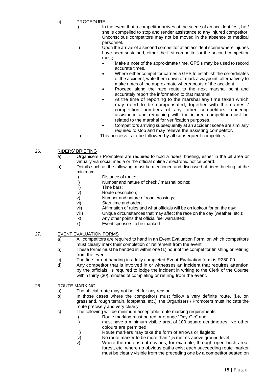- c) PROCEDURE
	- $i)$  In the event that a competitor arrives at the scene of an accident first, he / she is compelled to stop and render assistance to any injured competitor. Unconscious competitors may not be moved in the absence of medical personnel.

ii) Upon the arrival of a second competitor at an accident scene where injuries have been sustained, either the first competitor or the second competitor must;

- Make a note of the approximate time. GPS's may be used to record accurate times.
- Where either competitor carries a GPS to establish the co-ordinates of the accident, write them down or mark a waypoint, alternatively to make notes of the approximate whereabouts of the accident.
- Proceed along the race route to the next marshal point and accurately report the information to that marshal.
- At the time of reporting to the marshal any time taken which may need to be compensated, together with the names / competition numbers of any other competitors rendering assistance and remaining with the injured competitor must be related to the marshal for verification purposes.
- Competitors arriving subsequently at an accident scene are similarly required to stop and may relieve the assisting competitor.
- iii) This process is to be followed by all subsequent competitors.
- 26. RIDERS' BRIEFING
	- a) Organisers / Promoters are required to hold a riders' briefing, either in the pit area or virtually via social media or the official online / electronic notice board.
	- b) Details such as the following, must be mentioned and discussed at riders briefing, at the minimum:
		- i) Distance of route;
		- ii) Number and nature of check / marshal points;
		- iii) Time bars;
		- iv) Route description;
		- v) Number and nature of road crossings;
		- vi) Start time and order;
		- vii) Affirmation of rules and what officials will be on lookout for on the day;
		- viii) Unique circumstances that may affect the race on the day (weather, etc.);
		- ix) Any other points that official feel warranted;
		- x) Event sponsors to be thanked

#### 27. EVENT EVALUATION FORMS

- a) All competitors are required to hand in an Event Evaluation Form, on which competitors must clearly mark their completion or retirement from the event.
- b) These forms must be handed in within one (1) hour of the competitor finishing or retiring from the event.
- c) The fine for not handing in a fully completed Event Evaluation form is R250.00.
- d) Any competitor that is involved in or witnesses an incident that requires attention by the officials, is required to lodge the incident in writing to the Clerk of the Course within thirty (30) minutes of completing or retiring from the event.

#### 28. ROUTE MARKING

- a) The official route may not be left for any reason.
- b) In those cases where the competitors must follow a very definite route, (i.e. on grassland, rough terrain, footpaths, etc.), the Organisers / Promoters must indicate the route precisely and very clearly.
- c) The following will be minimum acceptable route marking requirements.
	- i) Route marking must be red or orange "Day-Glo" and;
	- ii) must have a minimum visible area of 100 square centimetres. No other colours are permitted;
	- iii) Route markers may take the form of arrows or flaglets;
	- iv) No route marker to be more than 1,5 metres above ground level;
	- v) Where the route is not obvious, for example, through open bush area, forest, etc. where no obvious paths exist each succeeding route marker must be clearly visible from the preceding one by a competitor seated on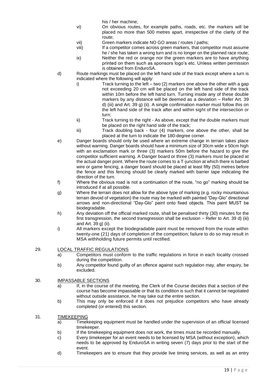his / her machine;

- vi) On obvious routes, for example paths, roads, etc. the markers will be placed no more than 500 metres apart, irrespective of the clarity of the route;
- vii) Green markers indicate NO GO areas / routes / paths;
- viii) If a competitor comes across green markers, that competitor must assume he / she has taken a wrong turn and is no longer on the planned race route;
- ix) Neither the red or orange nor the green markers are to have anything printed on them such as sponsors logo's etc. Unless written permission is obtained from EnduroSA.
- d) Route markings must be placed on the left hand side of the track except where a turn is indicated where the following will apply:
	- i) Track turning to the left two (2) markers one above the other with a gap not exceeding 20 cm will be placed on the left hand side of the track within 10m before the left hand turn. Turning inside any of these double markers by any distance will be deemed as a deviation – Refer Art. 39 d) (iii) and Art. 39 g) (ii). A single confirmation marker must follow this on the left hand side of the track after and within sight of the intersection or turn;
	- ii) Track turning to the right As above, except that the double markers must be placed on the right hand side of the track;
	- iii) Track doubling back four (4) markers, one above the other, shall be placed at the turn to indicate the 180-degree corner.
- e) Danger boards should only be used where an extreme change in terrain takes place without warning. Danger boards should have a minimum size of 30cm wide x 50cm high with an exclamation mark or three (3) markers 50m before the hazard to give the competitor sufficient warning. A Danger board or three (3) markers must be placed at the actual danger point. Where the route comes to a T-junction at which there is barbed wire or game fencing, a danger board should be placed at least fifty (50) metres before the fence and this fencing should be clearly marked with barrier tape indicating the direction of the turn.
- f) Where the obvious road is not a continuation of the route, "no go" marking should be introduced if at all possible.
- g) Where the terrain does not allow for the above type of marking (e.g. rocky mountainous terrain devoid of vegetation) the route may be marked with painted "Day-Glo" directional arrows and non-directional "Day-Glo" paint onto fixed objects. This paint MUST be biodegradable.
- h) Any deviation off the official marked route, shall be penalised thirty (30) minutes for the first transgression, the second transgression shall be exclusion – Refer to Art. 39 d) (iii) and Art. 39 g) (ii).
- i) All markers except the biodegradable paint must be removed from the route within twenty-one (21) days of completion of the competition; failure to do so may result in MSA withholding future permits until rectified.

# 29. LOCAL TRAFFIC REGULATIONS

- a) Competitors must conform to the traffic regulations in force in each locality crossed during the competition.
- b) Any competitor found guilty of an offence against such regulation may, after enquiry, be excluded.

# 30. IMPASSABLE SECTIONS

- a) If, in the course of the meeting, the Clerk of the Course decides that a section of the course has become impassable or that its condition is such that it cannot be negotiated without outside assistance, he may take out the entire section.
- b) This may only be enforced if it does not prejudice competitors who have already completed (or entered) this section.

#### 31. TIMEKEEPING

- a) Timekeeping equipment must be handled under the supervision of an official licensed timekeeper.
- b) If the timekeeping equipment does not work, the times must be recorded manually.
- c) Every timekeeper for an event needs to be licensed by MSA (without exception), which needs to be approved by EnduroSA in writing seven (7) days prior to the start of the event.
- d) Timekeepers are to ensure that they provide live timing services, as well as an entry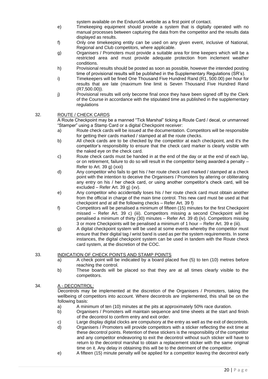system available on the EnduroSA website as a first point of contact.

- e) Timekeeping equipment should provide a system that is digitally operated with no manual processes between capturing the data from the competitor and the results data displayed as results.
- f) Only one timekeeping entity can be used on any given event, inclusive of National, Regional and Club competitors, where applicable.
- g) Organisers / Promoters must provide a suitable area for time keepers which will be a restricted area and must provide adequate protection from inclement weather conditions.
- h) Provisional results should be posted as soon as possible, however the intended posting time of provisional results will be published in the Supplementary Regulations (SR's).
- i) Timekeepers will be fined One Thousand Five Hundred Rand (R1, 500.00) per hour for results that are late (maximum fine limit is Seven Thousand Five Hundred Rand (R7,500.00)).
- j) Provisional results will only become final once they have been signed off by the Clerk of the Course in accordance with the stipulated time as published in the supplementary regulations

#### 32. ROUTE / CHECK CARDS

A Route Checkpoint may be a manned "Tick Marshal" ticking a Route Card / decal, or unmanned "Stamper" using a Stamp Card or a digital Checkpoint receiver:

- a) Route check cards will be issued at the documentation. Competitors will be responsible for getting their cards marked / stamped at all the route checks.
- b) All check cards are to be checked by the competitor at each checkpoint, and it's the competitor's responsibility to ensure that the check card marker is clearly visible with the naked eye on the check card.
- c) Route check cards must be handed in at the end of the day or at the end of each lap, or on retirement, failure to do so will result in the competitor being awarded a penalty – Refer to Art. 39 g) (xxii)
- d) Any competitor who fails to get his / her route check card marked / stamped at a check point with the intention to deceive the Organisers / Promoters by altering or obliterating any entry on his / her check card, or using another competitor's check card, will be excluded – Refer Art. 39 g) (xv).
- e) Any competitor who accidentally loses his / her route check card must obtain another from the official in charge of the main time control. This new card must be used at that checkpoint and at all the following checks – Refer Art. 39 f)
- f) Competitors will be penalised a minimum of fifteen (15) minutes for the first Checkpoint missed – Refer Art. 39 c) (iii). Competitors missing a second Checkpoint will be penalised a minimum of thirty (30) minutes – Refer Art. 39 d) (iv). Competitors missing 3 or more Checkpoints will be penalised a minimum of 1 hour – Refer Art. 39 e (iii).
- g) A digital checkpoint system will be used at some events whereby the competitor must ensure that their digital tag / wrist band is used as per the system requirements. In some instances, the digital checkpoint system can be used in tandem with the Route check card system, at the discretion of the COC.

#### 33. INDICATION OF CHECK POINTS AND STAMP POINTS

- a) A check point will be indicated by a board placed five (5) to ten (10) metres before reaching the control.
- b) These boards will be placed so that they are at all times clearly visible to the competitors.

# 34. A - DECONTROL:

Decontrols may be implemented at the discretion of the Organisers / Promoters, taking the wellbeing of competitors into account. Where decontrols are implemented, this shall be on the following basis:

- a) A minimum of ten (10) minutes at the pits at approximately 50% race duration.
- b) Organisers / Promoters will maintain sequence and time sheets at the start and finish of the decontrol to confirm entry and exit order.
- c) Large display digital clocks are compulsory at the entry as well as the exit of decontrols.
- d) Organisers / Promoters will provide competitors with a sticker reflecting the exit time at these decontrol points. Retention of these stickers is the responsibility of the competitor and any competitor endeavoring to exit the decontrol without such sticker will have to return to the decontrol marshal to obtain a replacement sticker with the same original time on it. Any delay in obtaining this will be to the detriment of the competitor.
- e) A fifteen (15) minute penalty will be applied for a competitor leaving the decontrol early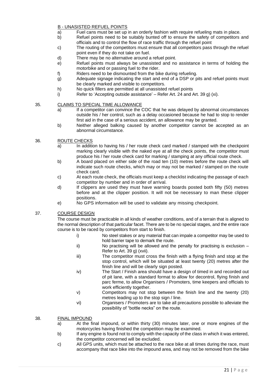# B - UNASISTED REFUEL POINTS

- a) Fuel cans must be set up in an orderly fashion with require refueling mats in place.
- b) Refuel points need to be suitably bunted off to ensure the safety of competitors and officials and to control the flow of race traffic through the refuel point
- c) The routing of the competitors must ensure that all competitors pass through the refuel point even if they do not take on fuel.
- d) There may be no alternative around a refuel point.
- e) Refuel points must always be unassisted and no assistance in terms of holding the motorbike and or passing fuel to the rider.
- f) Riders need to be dismounted from the bike during refueling.
- g) Adequate signage indicating the start and end of a DSP or pits and refuel points must be clearly marked and visible to competitors.
- h) No quick fillers are permitted at all unassisted refuel points
- i) Refer to 'Accepting outside assistance' Refer Art. 24 and Art. 39 g) (xi).

35. CLAIMS TO SPECIAL TIME ALLOWANCE

- a) If a competitor can convince the COC that he was delayed by abnormal circumstances outside his / her control, such as a delay occasioned because he had to stop to render first aid in the case of a serious accident, an allowance may be granted.
- b) Neither alleged balking caused by another competitor cannot be accepted as an abnormal circumstance.

#### 36. ROUTE CHECKS

- a) In addition to having his / her route check card marked / stamped with the checkpoint marking clearly visible with the naked eye at all the check points, the competitor must produce his / her route check card for marking / stamping at any official route check.
- b) A board placed on either side of the road ten (10) metres before the route check will indicate such route checks, which may or may not be marked / stamped on the route check card.
- c) At each route check, the officials must keep a checklist indicating the passage of each competitor by number and in order of arrival.
- d) If clippers are used they must have warning boards posted both fifty (50) metres before and at the clipper position. It will not be necessary to man these clipper positions.
- e) No GPS information will be used to validate any missing checkpoint.

#### 37. COURSE DESIGN

The course must be practicable in all kinds of weather conditions, and of a terrain that is aligned to the normal description of that particular facet. There are to be no special stages, and the entire race course is to be raced by competitors from start to finish.

- i) No steel stakes or any material that can impale a competitor may be used to hold barrier tape to demark the route.
- ii) No practising will be allowed and the penalty for practising is exclusion Refer to Art. 39 g) (xvii).
- iii) The competitor must cross the finish with a flying finish and stop at the stop control, which will be situated at least twenty (20) metres after the finish line and will be clearly sign posted.
- iv) The Start / Finish area should have a design of timed in and recorded out of pit lane, with a standard format to allow for decontrol, flying finish and parc ferme, to allow Organisers / Promoters, time keepers and officials to work efficiently together.
- v) Competitors may not stop between the finish line and the twenty (20) metres leading up to the stop sign / line.
- vi) Organisers / Promoters are to take all precautions possible to alleviate the possibility of "bottle necks" on the route.

#### 38. FINAL IMPOUND

- a) At the final impound, or within thirty (30) minutes later, one or more engines of the motorcycles having finished the competition may be examined.
- b) If any engine is found not to comply with the capacity of the class in which it was entered, the competitor concerned will be excluded.
- c) All GPS units, which must be attached to the race bike at all times during the race, must accompany that race bike into the impound area, and may not be removed from the bike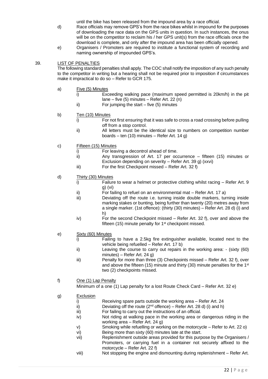until the bike has been released from the impound area by a race official.

- d) Race officials may remove GPS's from the race bikes whilst in impound for the purposes of downloading the race data on the GPS units in question. In such instances, the onus will be on the competitor to reclaim his / her GPS unit(s) from the race officials once the download is complete, and only after the impound area has been officially opened.
- e) Organisers / Promoters are required to institute a functional system of recording and naming ownership of impounded GPS's.

# 39. LIST OF PENALTIES

The following standard penalties shall apply. The COC shall notify the imposition of any such penalty to the competitor in writing but a hearing shall not be required prior to imposition if circumstances make it impractical to do so – Refer to GCR 175.

- a) Five (5) Minutes
	- i) Exceeding walking pace (maximum speed permitted is 20km/h) in the pit lane – five (5) minutes – Refer Art. 22 (n)
	- ii) For jumping the start five (5) minutes
- b) Ten (10) Minutes
	- i) For not first ensuring that it was safe to cross a road crossing before pulling off from a stop control.
	- ii) All letters must be the identical size to numbers on competition number boards – ten (10) minutes – Refer Art. 14 g)
- c) Fifteen (15) Minutes
	- i) For leaving a decontrol ahead of time.
	- ii) Any transgression of Art. 17 per occurrence fifteen (15) minutes or Exclusion depending on severity – Refer Art. 39 g) (xxvi)
	- iii) For the first Checkpoint missed Refer Art. 32 f)
- d) Thirty (30) Minutes
	- i) Failure to wear a helmet or protective clothing whilst racing Refer Art. 9 g) (vi)
	- ii) For failing to refuel on an environmental mat Refer Art. 17 a)
	- iii) Deviating off the route i.e. turning inside double markers, turning inside marking stakes or bunting, being further than twenty (20) metres away from a single marker. (1st offence): (thirty (30) minutes) – Refer Art. 28 d) (i) and h)
	- iv) For the second Checkpoint missed Refer Art. 32 f), over and above the fifteen  $(15)$  minute penalty for  $1<sup>st</sup>$  checkpoint missed.
- e) Sixty (60) Minutes
	- i) Failing to have a 2.5kg fire extinguisher available, located next to the vehicle being refuelled – Refer Art. 17 b)
	- ii) Leaving the course to carry out repairs in the working area: (sixty (60) minutes) – Refer Art. 24 g)
	- iii) Penalty for more than three (3) Checkpoints missed Refer Art. 32 f), over and above the fifteen (15) minute and thirty (30) minute penalties for the 1<sup>st</sup> two (2) checkpoints missed.

#### f) One (1) Lap Penalty

Minimum of a one (1) Lap penalty for a lost Route Check Card – Refer Art. 32 e)

- g) Exclusion
	- i) Receiving spare parts outside the working area Refer Art. 24
	- ii) Deviating off the route  $(2^{nd}$  offence) Refer Art. 28 d) (i) and h)
	- iii) For failing to carry out the instructions of an official.
	- iv) Not riding at walking pace in the working area or dangerous riding in the working area – Refer Art. 24 g)
		- v) Smoking while refuelling or working on the motorcycle Refer to Art. 22 o)
	- vi) Being more than sixty (60) minutes late at the start.
	- vii) Replenishment outside areas provided for this purpose by the Organisers / Promoters, or carrying fuel in a container not securely affixed to the motorcycle – Refer Art. 22 f)
	- viii) Not stopping the engine and dismounting during replenishment Refer Art.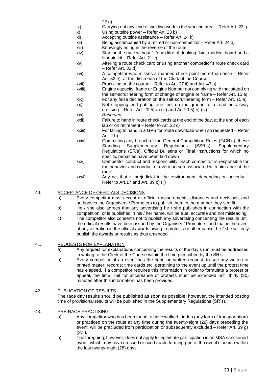- 22 g)
- ix) Carrying out any kind of welding work in the working area Refer Art. 22 i)
- x) Using outside power Refer Art. 23 b)
- xi) Accepting outside assistance Refer Art. 24 k)
- xii) Being accompanied by a retired or non-competitor Refer Art. 24 d)
- xiii) Knowingly riding in the reverse of the route.
- xiv) Starting the race without 1 (one) litre of drinking fluid, medical board and a first aid kit – Refer Art. 21 c)
- xv) Altering a route check card or using another competitor's route check card – Refer Art. 32 d)
- xvi) A competitor who misses a manned check point more than once Refer Art. 32 e), at the discretion of the Clerk of the Course.
- xvii) Practicing on the course Refer to Art. 37 ii) and Art. 43 a)
- xviii) Engine capacity, frame or Engine Number not complying with that stated on the self-scrutineering form or change of engine or frame – Refer Art. 15 a)
- xix) For any false declaration on the self-scrutineering form Refer Art. 15 a)
- xx) Not stopping and putting one foot on the ground at a road or railway crossing – Refer Art. 20 5) a) (iii) and Art 20 5) b) (iv)
- *xxi) Reserved*
- xxii) Failure to hand in route check cards at the end of the day, at the end of each lap or on retirement – Refer to Art. 32 c)
- xxiii) For failing to hand in a GPS for route download when so requested Refer Art. 2 h)
- xxiv) Committing any breach of the General Competition Rules (GCR's), these Standing Supplementary Regulations (SSR's), Supplementary Regulations (SR's), Official Bulletins or Final Instructions for which no specific penalties have been laid down
- xxv) Competitor conduct and responsibility. Each competitor is responsible for the behavior and conduct of every person associated with him / her at the race.
- xxvi) Any act that is prejudicial to the environment, depending on severity Refer to Art.17 and Art. 39 c) (ii)

#### 40. ACCEPTANCE OF OFFICIALS DECISIONS

- a) Every competitor must accept all official measurements, distances and decisions, and authorises the Organisers / Promoters to publish them in the manner they see fit.
- b) He / she also agrees that any advertising he / she publishes in connection with the competition, or is published in his / her name, will be true, accurate and not misleading.
- c) The competitor also consents not to publish any advertising concerning the results until the official results have been issued by the Organiser / Promoters, and that in the event of any alteration in the official awards owing to protests or other cause, he / she will only publish the awards or results as thus amended.

#### 41. REQUESTS FOR EXPLANATION

- a) Any request for explanations concerning the results of the day's run must be addressed in writing to the Clerk of the Course within the time prescribed by the SR's.
- b) Every competitor of an event has the right, on written request, to see any written or printed matter; records; time cards etc. pertaining to the event up until the protest time has elapsed. If a competitor requires this information in order to formulate a protest or appeal, the time limit for acceptance of protests must be extended until thirty (30) minutes after this information has been provided.

# 42. PUBLICATION OF RESULTS

The race day results should be published as soon as possible; however, the intended posting time of provisional results will be published in the Supplementary Regulations (SR's).

#### 43. PRE-RACE PRACTISING

- a) Any competitor who has been found to have walked, ridden (any form of transportation) or practiced on the route at any time during the twenty-eight (28) days preceding the event, will be precluded from participation or subsequently excluded – Refer Art. 39 g) (xvii).
- b) The foregoing, however, does not apply to legitimate participation in an MSA sanctioned event, which may have crossed or used roads forming part of the event's course within the last twenty-eight (28) days.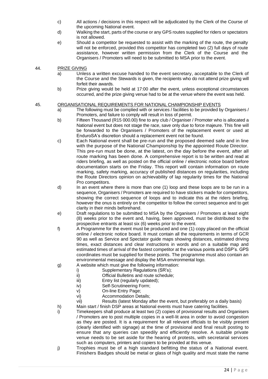- c) All actions / decisions in this respect will be adjudicated by the Clerk of the Course of the upcoming National event.
- d) Walking the start, parts of the course or any GPS routes supplied for riders or spectators is not allowed.
- e) Should a competitor be requested to assist with the marking of the route, the penalty will not be enforced, provided this competitor has completed two (2) full days of route assistance, however written permission from the Clerk of the Course and the Organisers / Promoters will need to be submitted to MSA prior to the event.

#### 44. PRIZE GIVING

- a) Unless a written excuse handed to the event secretary, acceptable to the Clerk of the Course and the Stewards is given, the recipients who do not attend prize giving will forfeit their awards.
- b) Prize giving would be held at 17:00 after the event, unless exceptional circumstances occurred, and the prize giving venue had to be at the venue where the event was held.

#### 45. ORGANISATIONAL REQUIREMENTS FOR NATIONAL CHAMPIONSHIP EVENTS

- a) The following must be complied with or services / facilities to be provided by Organisers / Promoters, and failure to comply will result in loss of permit.
- b) Fifteen Thousand (R15 000.00) fine to any club / Organiser / Promoter who is allocated a National event but does not stage the race, save only due to force majeure. This fine will be forwarded to the Organisers / Promoters of the replacement event or used at EnduroSA's discretion should a replacement event not be found.
- c) Each National event shall be pre-run and the proposed deemed safe and in line with the purpose of the National Championship by the appointed Route Director. This pre-run must be done, at the latest, on the day before the event, after all route marking has been done. A comprehensive report is to be written and read at riders briefing, as well as posted on the official online / electronic notice board before documentation starts on the Friday. This report will contain information on route marking, safety marking, accuracy of published distances on regularities, including the Route Directors opinion on achievability of lap regularity times for the National Pro competitors.
- d) In an event where there is more than one (1) loop and these loops are to be run in a sequence, Organisers / Promoters are required to have stickers made for competitors, showing the correct sequence of loops and to indicate this at the riders briefing, however the onus is entirely on the competitor to follow the correct sequence and to get clarity in their minds beforehand.
- e) Draft regulations to be submitted to MSA by the Organisers / Promoters at least eight (8) weeks prior to the event and, having, been approved, must be distributed to the prospective entrants at least six (6) weeks prior to the event.
- f) A Programme for the event must be produced and one (1) copy placed on the official online / electronic notice board. It must contain all the requirements in terms of GCR 90 as well as Service and Spectator guide maps showing distances, estimated driving times, exact distances and clear instructions in words and on a suitable map and estimated times of arrival of the fastest competitor at the various points and DSP's. GPS coordinates must be supplied for these points. The programme must also contain an environmental message and display the MSA environmental logo.
- g) A website which must give the following information:
	- i) Supplementary Regulations (SR's):
	- ii) Official Bulletins and route schedule;
	- iii) Entry list (regularly updated);
	- iv) Self-Scrutineering Form;
	- v) On-line Entry Page;
	- vi) Accommodation Details;
	- vii) Results (latest Monday after the event, but preferably on a daily basis)
- h) Main start / finish DSP areas at National events must have catering facilities.
- i) Timekeepers shall produce at least two (2) copies of provisional results and Organisers / Promoters are to post multiple copies in a well-lit area in order to avoid congestion as they are posted. It is a requirement for all relevant officials to be visibly present (clearly identified with signage) at the time of provisional and final result posting to ensure that any queries can speedily and efficiently resolve. A suitable private venue needs to be set aside for the hearing of protests, with secretarial services such as computers, printers and copiers to be provided at this venue.
- j) Trophies must be of a high standard befitting the status of a National event. Finishers Badges should be metal or glass of high quality and must state the name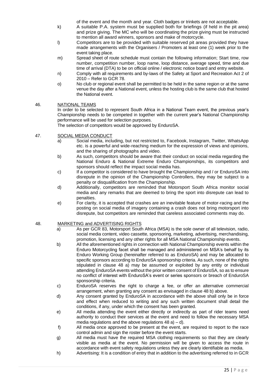of the event and the month and year. Cloth badges or trinkets are not acceptable.

- k) A suitable P.A. system must be supplied both for briefings (if held in the pit area) and prize giving. The MC who will be coordinating the prize giving must be instructed to mention all award winners, sponsors and make of motorcycle.
- l) Competitors are to be provided with suitable reserved pit areas provided they have made arrangements with the Organisers / Promoters at least one (1) week prior to the event taking place.
- m) Spread sheet of route schedule must contain the following information; Start time, row number, competition number, loop name, loop distance, average speed, time and due time of arrival (DTA) to be on official online / electronic notice board and entry website.
- n) Comply with all requirements and by-laws of the Safety at Sport and Recreation Act 2 of 2010 – Refer to GCR 78.
- o) No club or regional event shall be permitted to be held in the same region or at the same venue the day after a National event, unless the hosting club is the same club that hosted the National event.

#### 46. NATIONAL TEAMS

In order to be selected to represent South Africa in a National Team event, the previous year's Championship needs to be competed in together with the current year's National Championship performance will be used for selection purposes.

The selection of competitors would be approved by EnduroSA.

- 47. SOCIAL MEDIA CONDUCT
	- a) Social media, including, but not restricted to, Facebook, Instagram, Twitter, WhatsApp etc. is a powerful and wide-reaching medium for the expression of views and opinions, and the sharing of photographs and video.
	- b) As such, competitors should be aware that their conduct on social media regarding the National Enduro & National Extreme Enduro Championships, its competitors and sponsors should reflect the impact social media has.
	- c) If a competitor is considered to have brought the Championship and / or EnduroSA into disrepute in the opinion of the Championship Controllers, they may be subject to a penalty or disqualification from the Championship.
	- d) Additionally, competitors are reminded that Motorsport South Africa monitor social media and any remarks that are deemed to bring the sport into disrepute can lead to penalties.
	- e) For clarity, it is accepted that crashes are an inevitable feature of motor-racing and the posting on social media of imagery containing a crash does not bring motorsport into disrepute, but competitors are reminded that careless associated comments may do.

#### 48. MARKETING and ADVERTISING RIGHTS

- a) As per GCR 83, Motorsport South Africa (MSA) is the sole owner of all television, radio, social media content, video cassette, sponsoring, marketing, advertising, merchandising, promotion, licensing and any other rights for all MSA National Championship events.
- b) All the aforementioned rights in connection with National Championship events within the Enduro Motorcycling facet shall be managed and administered on MSA's behalf by its Enduro Working Group (hereinafter referred to as EnduroSA) and may be allocated to specific sponsors according to EnduroSA sponsorship criteria. As such, none of the rights stipulated in clause 48 a) may be assumed or exploited by any entity or individual attending EnduroSA events without the prior written consent of EnduroSA, so as to ensure no conflict of interest with EnduroSA's event or series sponsors or breach of EnduroSA sponsorship criteria.
- c) EnduroSA reserves the right to charge a fee, or offer an alternative commercial arrangement, when granting any consent as envisaged in clause 48 b) above.
- d) Any consent granted by EnduroSA in accordance with the above shall only be in force and effect when reduced to writing and any such written document shall detail the conditions, if any, under which the consent has been granted.
- e) All media attending the event either directly or indirectly as part of rider teams need authority to conduct their services at the event and need to follow the necessary MSA media regulations and the above regulations  $48$  a) – d).
- f) All media once approved to be present at the event, are required to report to the race control admin and sign the roster before the event starts.
- g) All media must have the required MSA clothing requirements so that they are clearly visible as media at the event. No permission will be given to access the route in accordance with event safety regulations unless they are clearly identifiable as media.
- h) Advertising: It is a condition of entry that in addition to the advertising referred to in GCR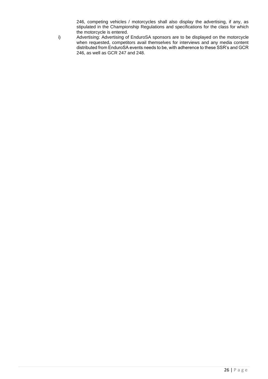246, competing vehicles / motorcycles shall also display the advertising, if any, as stipulated in the Championship Regulations and specifications for the class for which the motorcycle is entered.

i) Advertising: Advertising of EnduroSA sponsors are to be displayed on the motorcycle when requested, competitors avail themselves for interviews and any media content distributed from EnduroSA events needs to be, with adherence to these SSR's and GCR 246, as well as GCR 247 and 248.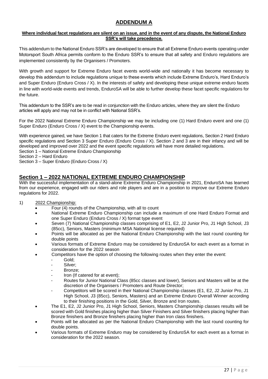# **ADDENDUM A**

#### **Where individual facet regulations are silent on an issue, and in the event of any dispute, the National Enduro SSR's will take precedence.**

This addendum to the National Enduro SSR's are developed to ensure that all Extreme Enduro events operating under Motorsport South Africa permits conform to the Enduro SSR's to ensure that all safety and Enduro regulations are implemented consistently by the Organisers / Promoters.

With growth and support for Extreme Enduro facet events world-wide and nationally it has become necessary to develop this addendum to include regulations unique to these events which include Extreme Enduro's, Hard Enduro's and Super Enduro (Enduro Cross / X). In the interests of safety and developing these unique extreme enduro facets in line with world-wide events and trends, EnduroSA will be able to further develop these facet specific regulations for the future.

This addendum to the SSR's are to be read in conjunction with the Enduro articles, where they are silent the Enduro articles will apply and may not be in conflict with National SSR's.

For the 2022 National Extreme Enduro Championship we may be including one (1) Hard Enduro event and one (1) Super Enduro (Enduro Cross / X) event to the Championship events.

With experience gained, we have Section 1 that caters for the Extreme Enduro event regulations, Section 2 Hard Enduro specific regulations and Section 3 Super Enduro (Enduro Cross / X). Section 2 and 3 are in their infancy and will be developed and improved over 2022 and the event specific regulations will have more detailed regulations. Section 1 – National Extreme Enduro Championship

Section 2 – Hard Enduro

Section 3 – Super Enduro (Enduro Cross / X)

# **Section 1 – 2022 NATIONAL EXTREME ENDURO CHAMPIONSHIP**

With the successful implementation of a stand-alone Extreme Enduro Championship in 2021, EnduroSA has learned from our experience, engaged with our riders and role players and are in a position to improve our Extreme Enduro regulations for 2022.

- 1) 2022 Championship:
	- Four (4) rounds of the Championship, with all to count
	- National Extreme Enduro Championship can include a maximum of one Hard Enduro Format and one Super Enduro (Enduro Cross / X) format type event
	- Seven (7) National Championship classes comprising of E1, E2, J2 Junior Pro, J1 High School, J3 (85cc), Seniors, Masters (minimum MSA National license required)
	- Points will be allocated as per the National Enduro Championship with the last round counting for double points
	- Various formats of Extreme Enduro may be considered by EnduroSA for each event as a format in consideration for the 2022 season
	- Competitors have the option of choosing the following routes when they enter the event:
		- Gold;
		- Silver:
		- Bronze:
		- Iron (If catered for at event):
		- Routes for Junior National Class (85cc classes and lower), Seniors and Masters will be at the discretion of the Organisers / Promoters and Route Director;
		- Competitors will be scored in their National Championship classes (E1, E2, J2 Junior Pro, J1 High School, J3 (85cc), Seniors, Masters) and an Extreme Enduro Overall Winner according to their finishing positions in the Gold, Silver, Bronze and Iron routes.
	- The E1, E2, J2 Junior Pro, J1 High School, Seniors, Masters Championship classes results will be scored with Gold finishes placing higher than Silver Finishers and Silver finishers placing higher than Bronze finishers and Bronze finishers placing higher than Iron class finishers.
	- Points will be allocated as per the National Enduro Championship with the last round counting for double points.
	- Various formats of Extreme Enduro may be considered by EnduroSA for each event as a format in consideration for the 2022 season.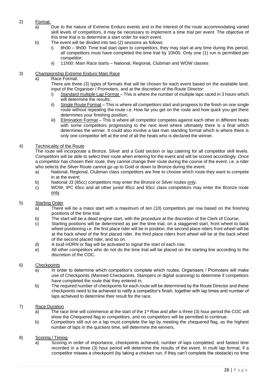# 2) Format:

- a) Due to the nature of Extreme Enduro events and in the interest of the route accommodating varied skill levels of competitors, it may be necessary to implement a time trial per event. The objective of this time trial is to determine a start order for each event.
- b) The event will be divided into two (2) sessions as follows:
	- i) 8h00 9h00: Time trail start open to competitors, they may start at any time during this period, all competitors must have completed the time trial by 10h00. Only one (1) run is permitted per competitor;
	- ii) 11h00: Main Race starts National, Regional, Clubman and WOW classes

#### 3) Championship Extreme Enduro Main Race

# a) Race Format:

There are three (3) types of formats that will be chosen for each event based on the available land, input of the Organiser / Promoters, and at the discretion of the Route Director:

- i) Standard multiple Lap Format This is where the number of multiple laps raced in 3 hours which will determine the results;
- ii) Single Route Format This is where all competitors start and progress to the finish on one single route without repeating the route i.e. How far you get on the route and how quick you get there determines your finishing position;
- iii) Elimination Format This is where all competitor competes against each other in different heats with some competitors progressing to the next level where ultimately there is a final which determines the winner. It could also involve a last man standing format which is where there is only one competitor left at the end of all the heats who is declared the winner.

#### 4) Technicality of the Route

The route will incorporate a Bronze, Silver and a Gold section or lap catering for all competitor skill levels. Competitors will be able to select their route when entering for the event and will be scored accordingly. Once a competitor has chosen their route, they cannot change their route during the course of the event. i.e. a rider who selects the Silver Route cannot go up to Gold or down to Bronze during the event.

- a) National, Regional, Clubman class competitors are free to choose which route they want to compete in at the event;
- b) National J3 (85cc) competitors may enter the Bronze or Silver routes only;
- c) WOW, IPC 65cc and all other junior 85cc and 65cc class competitors may enter the Bronze route only.

#### 5) Starting Order

- a) There will be a mass start with a maximum of ten (10) competitors per row based on the finishing positions of the time trial.
- b) The start will be a dead engine start, with the procedure at the discretion of the Clerk of Course;
- c) Starting positions will be determined as per the time trial, on a staggered start, front wheel to back wheel positioning i.e. the first place rider will be in position, the second place riders front wheel will be at the back wheel of the first placed rider, the third place riders front wheel will be at the back wheel of the second placed rider, and so on.
- d) A loud HORN or flag will be activated to signal the start of each row;
- e) All other competitors who do not do the time trial will be placed on the starting line according to the discretion of the COC.

#### 6) Checkpoints

- a) In order to determine which competitor's complete which routes, Organisers / Promoters will make use of Checkpoints (Manned Checkpoints, Stampers or digital scanning) to determine if competitors have completed the route that they entered in;
- b) The required number of checkpoints for each route will be determined by the Route Director and these checkpoints need to be achieved to ratify a competitor's finish, together with lap times and number of laps achieved to determine their result for the race.

#### 7) Race Duration

- a) The race time will commence at the start of the 1<sup>st</sup> Row and after a three (3) hour period the COC will show the Chequered flag to competitors, and no competitors will be permitted to continue.
- b) Competitors still out on a lap must complete the lap by meeting the chequered flag, as the highest number of laps in the quickest time, will determine the winners.

# 8) Scoring / Timing

a) Scoring in order of importance, checkpoints achieved, number of laps completed, and fastest time recorded in a three (3) hour period will determine the results of the event. In multi lap format, if a competitor misses a checkpoint (by taking a chicken run, if they can't complete the obstacle) no time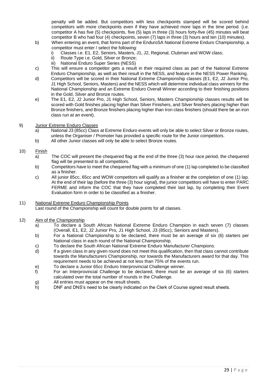penalty will be added. But competitors with less checkpoints stamped will be scored behind competitors with more checkpoints even if they have achieved more laps in the time period. (i.e. competitor A has five (5) checkpoints, five (5) laps in three (3) hours forty-five (45) minutes will beat competitor B who had four (4) checkpoints, seven (7) laps in three (3) hours and ten (10) minutes).

- b) When entering an event, that forms part of the EnduroSA National Extreme Enduro Championship, a competitor must enter / select the following:
	- i) Classes i.e. E1, E2, Seniors, Masters, J1, J2, Regional, Clubman and WOW class;
	- ii) Route Type i.e. Gold, Silver or Bronze;
	- iii) National Enduro Super Series (NESS)
- c) This will ensure a competitor gets a result in their required class as part of the National Extreme Enduro Championship, as well as their result in the NESS, and feature in the NESS Power Ranking.
- d) Competitors will be scored in their National Extreme Championship classes (E1, E2, J2 Junior Pro, J1 High School, Seniors, Masters) and the NESS which will determine individual class winners for the National Championship and an Extreme Enduro Overall Winner according to their finishing positions in the Gold, Silver and Bronze routes.
- e) The E1, E2, J2 Junior Pro, J1 High School, Seniors, Masters Championship classes results will be scored with Gold finishes placing higher than Silver Finishers, and Silver finishers placing higher than Bronze finishers, and Bronze finishers placing higher than Iron class finishers (should there be an iron class run at an event).
- 9) Junior Extreme Enduro Classes
	- a) National J3 (85cc) Class at Extreme Enduro events will only be able to select Silver or Bronze routes, unless the Organiser / Promoter has provided a specific route for the Junior competitors.
	- b) All other Junior classes will only be able to select Bronze routes.
- 10) Finish
	- a) The COC will present the chequered flag at the end of the three (3) hour race period, the chequered flag will be presented to all competitors.
	- b) Competitors have to meet the chequered flag with a minimum of one (1) lap completed to be classified as a finisher.
	- c) All junior 85cc, 65cc and WOW competitors will qualify as a finisher at the completion of one (1) lap. At the end of their lap (before the three (3) hour signal), the junior competitors will have to enter PARC FERME and inform the COC that they have completed their last lap, by completing their Event Evaluation form in order to be classified as a finisher.
- 11) National Extreme Enduro Championship Points Last round of the Championship will count for double points for all classes.
- 12) Aim of the Championship
	- a) To declare a South African National Extreme Enduro Champion in each seven (7) classes (Overall, E1, E2, J2 Junior Pro, J1 High School, J3 (85cc), Seniors and Masters).
	- b) For a National Championship to be declared, there must be an average of six (6) starters per National class in each round of the National Championship.
	- c) To declare the South African National Extreme Enduro Manufacturer Champion*s*.
	- d) If a given class in any given round does not meet this qualification, then that class cannot contribute towards the Manufacturers Championship, nor towards the Manufacturers award for that day. This requirement needs to be achieved at not less than 75% of the events run.
	- e) To declare a Junior 65cc Enduro Interprovincial Challenge winner.
	- f) For an Interprovincial Challenge to be declared, there must be an average of six (6) starters calculated over the total number of rounds in the Challenge.
	- g) All entries must appear on the result sheets.
	- h) DNF and DNS's need to be clearly indicated on the Clerk of Course signed result sheets.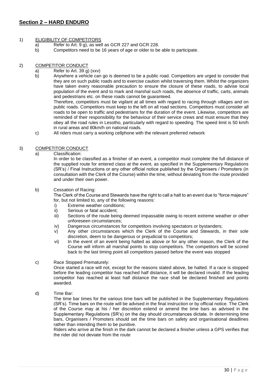# **Section 2 – HARD ENDURO**

#### 1) ELIGIBILITY OF COMPETITORS

- a) Refer to Art. 9 g), as well as GCR 227 and GCR 228.
- b) Competitors need to be 16 years of age or older to be able to participate.

#### 2) COMPETITOR CONDUCT

- a) Refer to Art. 39 g) (xxv)
- b) Anywhere a vehicle can go is deemed to be a public road. Competitors are urged to consider that they are on such public roads and to exercise caution whilst traversing them. Whilst the organizers have taken every reasonable precaution to ensure the closure of these roads, to advise local population of the event and to mark and marshal such roads, the absence of traffic, carts, animals and pedestrians etc. on these roads cannot be guaranteed.

Therefore, competitors must be vigilant at all times with regard to racing through villages and on public roads. Competitors must keep to the left on all road sections. Competitors must consider all roads to be open to traffic and pedestrians for the duration of the event. Likewise, competitors are reminded of their responsibility for the behaviour of their service crews and must ensure that they obey all the road rules in Lesotho, particularly with regard to speeding. The speed limit is 50 km/h in rural areas and 80km/h on national roads.

c) All riders must carry a working cellphone with the relevant preferred network

#### 3) COMPETITOR CONDUCT

a) Classification:

In order to be classified as a finisher of an event, a competitor must complete the full distance of the supplied route for entered class at the event, as specified in the Supplementary Regulations (SR's) / Final Instructions or any other official notice published by the Organisers / Promoters (in consultation with the Clerk of the Course) within the time, without deviating from the route provided and under their own power.

#### b) Cessation of Racing:

The Clerk of the Course and Stewards have the right to call a halt to an event due to "force majeure" for, but not limited to, any of the following reasons:

- i) Extreme weather conditions;
- ii) Serious or fatal accident;
- iii) Sections of the route being deemed impassable owing to recent extreme weather or other unforeseen circumstances;
- iv) Dangerous circumstances for competitors involving spectators or bystanders;
- v) Any other circumstances which the Clerk of the Course and Stewards, in their sole discretion, deem to be dangerous or prejudicial to competitors;
- vi) In the event of an event being halted as above or for any other reason, the Clerk of the Course will inform all marshal points to stop competitors. The competitors will be scored back to the last timing point all competitors passed before the event was stopped

#### c) Race Stopped Prematurely:

Once started a race will not, except for the reasons stated above, be halted. If a race is stopped before the leading competitor has reached half distance, it will be declared invalid. If the leading competitor has reached at least half distance the race shall be declared finished and points awarded.

d) Time Bar:

The time bar times for the various time bars will be published in the Supplementary Regulations (SR's). Time bars on the route will be advised in the final instruction or by official notice. The Clerk of the Course may at his / her discretion extend or amend the time bars as advised in the Supplementary Regulations (SR's) on the day should circumstances dictate. In determining time bars, Organisers / Promoters should set the time bars on safety and organisational deadlines rather than intending them to be punitive.

Riders who arrive at the finish in the dark cannot be declared a finisher unless a GPS verifies that the rider did not deviate from the route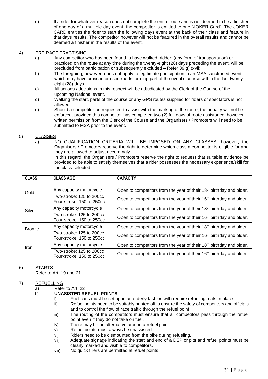e) If a rider for whatever reason does not complete the entire route and is not deemed to be a finisher of one day of a multiple day event, the competitor is entitled to one "JOKER Card". The JOKER CARD entitles the rider to start the following days event at the back of their class and feature in that days results. The competitor however will not be featured in the overall results and cannot be deemed a finisher in the results of the event.

#### 4) PRE-RACE PRACTISING

- a) Any competitor who has been found to have walked, ridden (any form of transportation) or practiced on the route at any time during the twenty-eight (28) days preceding the event, will be precluded from participation or subsequently excluded – Refer 39 g) (xvii).
- b) The foregoing, however, does not apply to legitimate participation in an MSA sanctioned event, which may have crossed or used roads forming part of the event's course within the last twentyeight (28) days.
- c) All actions / decisions in this respect will be adjudicated by the Clerk of the Course of the upcoming National event.
- d) Walking the start, parts of the course or any GPS routes supplied for riders or spectators is not allowed.
- e) Should a competitor be requested to assist with the marking of the route, the penalty will not be enforced, provided this competitor has completed two (2) full days of route assistance, however written permission from the Clerk of the Course and the Organisers / Promoters will need to be submitted to MSA prior to the event.

#### 5) CLASSES

a) NO QUALIFICATION CRITERIA WILL BE IMPOSED ON ANY CLASSES; however, the Organisers / Promoters reserve the right to determine which class a competitor is eligible for and they are allowed to adjust accordingly.

In this regard, the Organisers / Promoters reserve the right to request that suitable evidence be provided to be able to satisfy themselves that a rider possesses the necessary experience/skill for the class selected.

| <b>CLASS</b>  | <b>CLASS AGE</b>                                      | <b>CAPACITY</b>                                                                 |  |
|---------------|-------------------------------------------------------|---------------------------------------------------------------------------------|--|
| Gold          | Any capacity motorcycle                               | Open to competitors from the year of their 18 <sup>th</sup> birthday and older. |  |
|               | Two-stroke: 125 to 200cc<br>Four-stroke: 150 to 250cc | Open to competitors from the year of their 16 <sup>th</sup> birthday and older. |  |
| Silver        | Any capacity motorcycle                               | Open to competitors from the year of their 18 <sup>th</sup> birthday and older. |  |
|               | Two-stroke: 125 to 200cc<br>Four-stroke: 150 to 250cc | Open to competitors from the year of their 16 <sup>th</sup> birthday and older. |  |
| <b>Bronze</b> | Any capacity motorcycle                               | Open to competitors from the year of their 18 <sup>th</sup> birthday and older. |  |
|               | Two-stroke: 125 to 200cc<br>Four-stroke: 150 to 250cc | Open to competitors from the year of their 16 <sup>th</sup> birthday and older. |  |
| Iron          | Any capacity motorcycle                               | Open to competitors from the year of their 18 <sup>th</sup> birthday and older. |  |
|               | Two-stroke: 125 to 200cc<br>Four-stroke: 150 to 250cc | Open to competitors from the year of their 16 <sup>th</sup> birthday and older. |  |

# 6) STARTS

Refer to Art. 19 and 21

#### 7) REFUELLING

- a) Refer to Art. 22
- b) **UNASISTED REFUEL POINTS**
	- i) Fuel cans must be set up in an orderly fashion with require refueling mats in place.
	- ii) Refuel points need to be suitably bunted off to ensure the safety of competitors and officials and to control the flow of race traffic through the refuel point
	- iii) The routing of the competitors must ensure that all competitors pass through the refuel point even if they do not take on fuel.
	- iv) There may be no alternative around a refuel point.
	- v) Refuel points must always be unassisted.
	- vi) Riders need to be dismounted from the bike during refueling.
	- vii) Adequate signage indicating the start and end of a DSP or pits and refuel points must be clearly marked and visible to competitors.
	- viii) No quick fillers are permitted at refuel points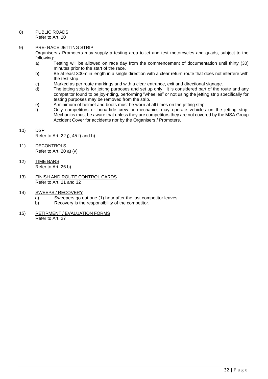8) PUBLIC ROADS

Refer to Art. 20

#### 9) PRE- RACE JETTING STRIP

Organisers / Promoters may supply a testing area to jet and test motorcycles and quads, subject to the following:

- a) Testing will be allowed on race day from the commencement of documentation until thirty (30) minutes prior to the start of the race.
- b) Be at least 300m in length in a single direction with a clear return route that does not interfere with the test strip.
- c) Marked as per route markings and with a clear entrance, exit and directional signage.
- d) The jetting strip is for jetting purposes and set up only. It is considered part of the route and any competitor found to be joy-riding, performing "wheelies" or not using the jetting strip specifically for testing purposes may be removed from the strip.
- e) A minimum of helmet and boots must be worn at all times on the jetting strip.
- f) Only competitors or bona-fide crew or mechanics may operate vehicles on the jetting strip. Mechanics must be aware that unless they are competitors they are not covered by the MSA Group Accident Cover for accidents nor by the Organisers / Promoters.
- 10) DSP Refer to Art. 22 j), 45 f) and h)
- 11) DECONTROLS Refer to Art. 20 a) (v)
- 12) TIME BARS Refer to Art. 26 b)
- 13) FINISH AND ROUTE CONTROL CARDS Refer to Art. 21 and 32
- 14) SWEEPS / RECOVERY
	- a) Sweepers go out one (1) hour after the last competitor leaves.
	- b) Recovery is the responsibility of the competitor.
- 15) RETIRMENT / EVALUATION FORMS Refer to Art. 27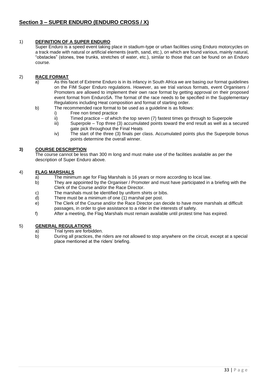# 1) **DEFINITION OF A SUPER ENDURO**

Super Enduro is a speed event taking place in stadium-type or urban facilities using Enduro motorcycles on a track made with natural or artificial elements (earth, sand, etc.), on which are found various, mainly natural, "obstacles" (stones, tree trunks, stretches of water, etc.), similar to those that can be found on an Enduro course.

# 2) **RACE FORMAT**

- a) As this facet of Extreme Enduro is in its infancy in South Africa we are basing our format guidelines on the FIM Super Enduro regulations. However, as we trial various formats, event Organisers / Promoters are allowed to implement their own race format by getting approval on their proposed event format from EnduroSA. The format of the race needs to be specified in the Supplementary Regulations including Heat composition and format of starting order.
- b) The recommended race format to be used as a guideline is as follows:
	- i) Free non timed practice<br>ii) Timed practice of whic
	- Timed practice of which the top seven  $(7)$  fastest times go through to Superpole
	- iii) Superpole Top three (3) accumulated points toward the end result as well as a secured gate pick throughout the Final Heats
	- iv) The start of the three (3) finals per class. Accumulated points plus the Superpole bonus points determine the overall winner.

#### **3) COURSE DESCRIPTION**

The course cannot be less than 300 m long and must make use of the facilities available as per the description of Super Enduro above.

#### 4) **FLAG MARSHALS**

- a) The minimum age for Flag Marshals is 16 years or more according to local law.
- b) They are appointed by the Organiser / Promoter and must have participated in a briefing with the Clerk of the Course and/or the Race Director.
- c) The marshals must be identified by uniform shirts or bibs.
- d) There must be a minimum of one (1) marshal per post.
- e) The Clerk of the Course and/or the Race Director can decide to have more marshals at difficult passages, in order to give assistance to a rider in the interests of safety.
- f) After a meeting, the Flag Marshals must remain available until protest time has expired.

#### 5) **GENERAL REGULATIONS**

- a) Trial tyres are forbidden.
- b) During all practices, the riders are not allowed to stop anywhere on the circuit, except at a special place mentioned at the riders' briefing.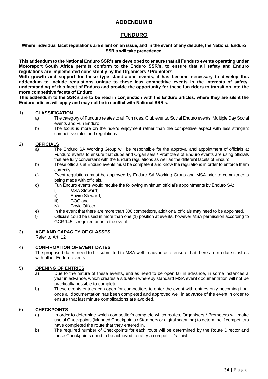# **ADDENDUM B**

# **FUNDURO**

#### **Where individual facet regulations are silent on an issue, and in the event of any dispute, the National Enduro SSR's will take precedence.**

**This addendum to the National Enduro SSR's are developed to ensure that all Funduro events operating under Motorsport South Africa permits conform to the Enduro SSR's, to ensure that all safety and Enduro regulations are implemented consistently by the Organisers / Promoters.**

**With growth and support for these type stand-alone events, it has become necessary to develop this addendum to include regulations unique to these less competitive events in the interests of safety, understanding of this facet of Enduro and provide the opportunity for these fun riders to transition into the more competitive facets of Enduro.**

**This addendum to the SSR's are to be read in conjunction with the Enduro articles, where they are silent the Enduro articles will apply and may not be in conflict with National SSR's.**

#### 1) **CLASSIFICATION**

- a) The category of Funduro relates to all Fun rides, Club events, Social Enduro events, Multiple Day Social events and Fun Enduro.
- b) The focus is more on the rider's enjoyment rather than the competitive aspect with less stringent competitive rules and regulations.

#### 2) **OFFICIALS**

- a) The Enduro SA Working Group will be responsible for the approval and appointment of officials at Funduro events to ensure that clubs and Organisers / Promoters of Enduro events are using officials that are fully conversant with the Enduro regulations as well as the different facets of Enduro.
- b) These officials at Enduro events must be competent and know the regulations in order to enforce them correctly.
- c) Event regulations must be approved by Enduro SA Working Group and MSA prior to commitments being made with officials.
- d) Fun Enduro events would require the following minimum official's appointments by Enduro SA:
	- i) MSA Steward;
	- ii) Enviro Steward;
	- iii) COC and:
	- iv) Covid Officer.
- e) In the event that there are more than 300 competitors, additional officials may need to be appointed.
- f) Officials could be used in more than one (1) position at events, however MSA permission according to GCR 145 is required prior to the event.

#### 3) **AGE AND CAPACITY OF CLASSES**

Refer to Art. 12

#### 4) **CONFIRMATION OF EVENT DATES**

The proposed dates need to be submitted to MSA well in advance to ensure that there are no date clashes with other Enduro events.

# 5) **OPENING OF ENTRIES**

- a) Due to the nature of these events, entries need to be open far in advance, in some instances a year in advance, which creates a situation whereby standard MSA event documentation will not be practically possible to complete.
- b) These events entries can open for competitors to enter the event with entries only becoming final once all documentation has been completed and approved well in advance of the event in order to ensure that last minute complications are avoided.

# 6) **CHECKPOINTS**

- a) In order to determine which competitor's complete which routes, Organisers / Promoters will make use of Checkpoints (Manned Checkpoints / Stampers or digital scanning) to determine if competitors have completed the route that they entered in.
- b) The required number of Checkpoints for each route will be determined by the Route Director and these Checkpoints need to be achieved to ratify a competitor's finish.